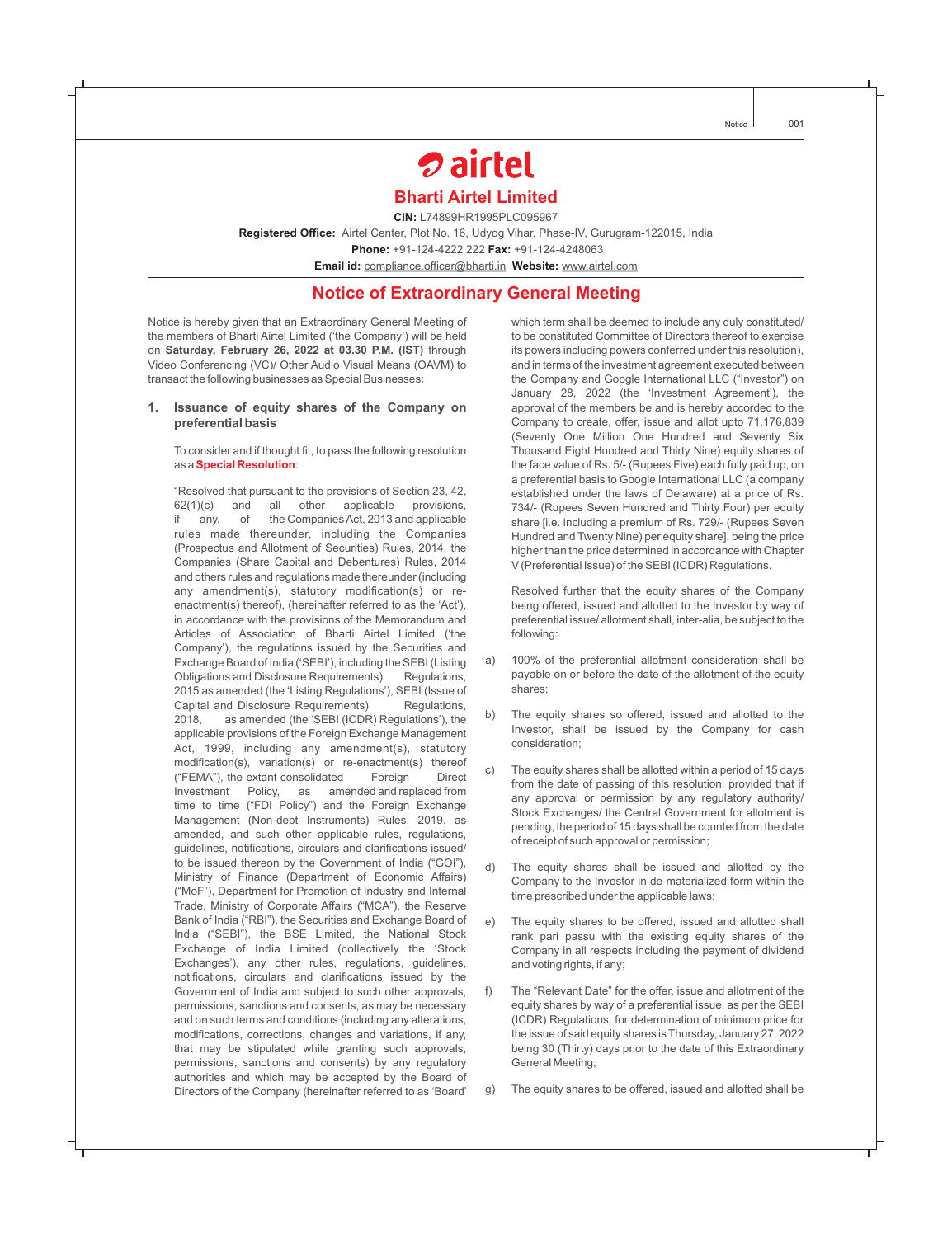# *D* airtel **Bharti Airtel Limited**

**CIN:** L74899HR1995PLC095967

Registered Office: Airtel Center, Plot No. 16, Udyog Vihar, Phase-IV, Gurugram-122015, India

**Phone:** +91-124-4222 222 Fax: +91-124-4248063

**Email id:** compliance.officer@bharti.in Website: www.airtel.com

## **Notice of Extraordinary General Meeting**

Notice is hereby given that an Extraordinary General Meeting of the members of Bharti Airtel Limited ('the Company') will be held on **Saturday, February 26, 2022 at 03.30 P.M. (IST)** through Video Conferencing (VC)/ Other Audio Visual Means (OAVM) to transact the following businesses as Special Businesses:

#### **1. Issuance of equity shares of the Company on preferential basis**

To consider and if thought fit, to pass the following resolution as a **Special Resolution**:

"Resolved that pursuant to the provisions of Section 23, 42,  $62(1)(c)$  and all other applicable provisions, if any, of the Companies Act, 2013 and applicable rules made thereunder, including the Companies (Prospectus and Allotment of Securities) Rules, 2014, the Companies (Share Capital and Debentures) Rules, 2014 and others rules and regulations made thereunder (including any amendment(s), statutory modification(s) or reenactment(s) thereof), (hereinafter referred to as the 'Act'), in accordance with the provisions of the Memorandum and Articles of Association of Bharti Airtel Limited ('the Company'), the regulations issued by the Securities and Exchange Board of India ('SEBI'), including the SEBI (Listing Obligations and Disclosure Requirements) Regulations, 2015 as amended (the 'Listing Regulations'), SEBI (Issue of Capital and Disclosure Requirements) Regulations, 2018, as amended (the 'SEBI (ICDR) Regulations'), the applicable provisions of the Foreign Exchange Management Act, 1999, including any amendment(s), statutory modification(s), variation(s) or re-enactment(s) thereof ("FEMA"), the extant consolidated Foreign Direct Investment Policy, as amended and replaced from time to time ("FDI Policy") and the Foreign Exchange Management (Non-debt Instruments) Rules, 2019, as amended, and such other applicable rules, regulations, guidelines, notifications, circulars and clarifications issued/ to be issued thereon by the Government of India ("GOI"), Ministry of Finance (Department of Economic Affairs) ("MoF"), Department for Promotion of Industry and Internal Trade, Ministry of Corporate Affairs ("MCA"), the Reserve Bank of India ("RBI"), the Securities and Exchange Board of India ("SEBI"), the BSE Limited, the National Stock Exchange of India Limited (collectively the 'Stock Exchanges'), any other rules, regulations, guidelines, notifications, circulars and clarifications issued by the Government of India and subject to such other approvals, permissions, sanctions and consents, as may be necessary and on such terms and conditions (including any alterations, modifications, corrections, changes and variations, if any, that may be stipulated while granting such approvals, permissions, sanctions and consents) by any regulatory authorities and which may be accepted by the Board of Directors of the Company (hereinafter referred to as 'Board'

which term shall be deemed to include any duly constituted/ to be constituted Committee of Directors thereof to exercise its powers including powers conferred under this resolution), and in terms of the investment agreement executed between the Company and Google International LLC ("Investor") on January 28, 2022 (the 'Investment Agreement'), the approval of the members be and is hereby accorded to the Company to create, offer, issue and allot upto 71,176,839 (Seventy One Million One Hundred and Seventy Six Thousand Eight Hundred and Thirty Nine) equity shares of the face value of Rs. 5/- (Rupees Five) each fully paid up, on a preferential basis to Google International LLC (a company established under the laws of Delaware) at a price of Rs. 734/- (Rupees Seven Hundred and Thirty Four) per equity share [i.e. including a premium of Rs. 729/- (Rupees Seven Hundred and Twenty Nine) per equity share], being the price higher than the price determined in accordance with Chapter V (Preferential Issue) of the SEBI (ICDR) Regulations.

Resolved further that the equity shares of the Company being offered, issued and allotted to the Investor by way of preferential issue/ allotment shall, inter-alia, be subject to the following:

- a) 100% of the preferential allotment consideration shall be payable on or before the date of the allotment of the equity shares;
- b) The equity shares so offered, issued and allotted to the Investor, shall be issued by the Company for cash consideration;
- c) The equity shares shall be allotted within a period of 15 days from the date of passing of this resolution, provided that if any approval or permission by any regulatory authority/ Stock Exchanges/ the Central Government for allotment is pending, the period of 15 days shall be counted from the date of receipt of such approval or permission;
- d) The equity shares shall be issued and allotted by the Company to the Investor in de-materialized form within the time prescribed under the applicable laws;
- e) The equity shares to be offered, issued and allotted shall rank pari passu with the existing equity shares of the Company in all respects including the payment of dividend and voting rights, if any;
- f) The "Relevant Date" for the offer, issue and allotment of the equity shares by way of a preferential issue, as per the SEBI (ICDR) Regulations, for determination of minimum price for the issue of said equity shares is Thursday, January 27, 2022 being 30 (Thirty) days prior to the date of this Extraordinary General Meeting;
- g) The equity shares to be offered, issued and allotted shall be

Notice 001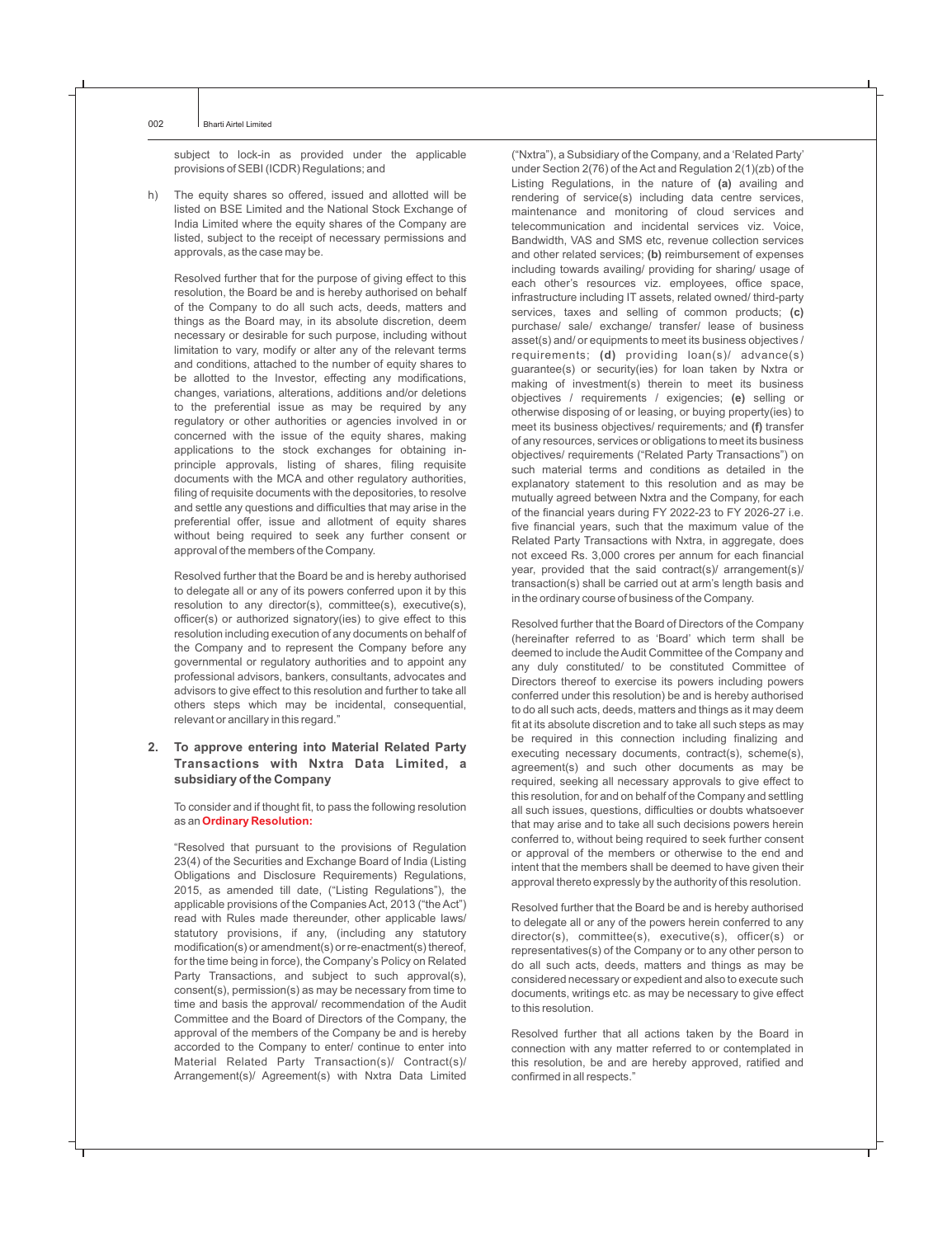subject to lock-in as provided under the applicable provisions of SEBI (ICDR) Regulations; and

h) The equity shares so offered, issued and allotted will be listed on BSE Limited and the National Stock Exchange of India Limited where the equity shares of the Company are listed, subject to the receipt of necessary permissions and approvals, as the case may be.

Resolved further that for the purpose of giving effect to this resolution, the Board be and is hereby authorised on behalf of the Company to do all such acts, deeds, matters and things as the Board may, in its absolute discretion, deem necessary or desirable for such purpose, including without limitation to vary, modify or alter any of the relevant terms and conditions, attached to the number of equity shares to be allotted to the Investor, effecting any modifications, changes, variations, alterations, additions and/or deletions to the preferential issue as may be required by any regulatory or other authorities or agencies involved in or concerned with the issue of the equity shares, making applications to the stock exchanges for obtaining inprinciple approvals, listing of shares, filing requisite documents with the MCA and other regulatory authorities, filing of requisite documents with the depositories, to resolve and settle any questions and difficulties that may arise in the preferential offer, issue and allotment of equity shares without being required to seek any further consent or approval of the members of the Company.

Resolved further that the Board be and is hereby authorised to delegate all or any of its powers conferred upon it by this resolution to any director(s), committee(s), executive(s), officer(s) or authorized signatory(ies) to give effect to this resolution including execution of any documents on behalf of the Company and to represent the Company before any governmental or regulatory authorities and to appoint any professional advisors, bankers, consultants, advocates and advisors to give effect to this resolution and further to take all others steps which may be incidental, consequential, relevant or ancillary in this regard."

#### **2. To approve entering into Material Related Party Transactions with Nxtra Data Limited, a subsidiary of the Company**

To consider and if thought fit, to pass the following resolution as an **Ordinary Resolution:**

"Resolved that pursuant to the provisions of Regulation 23(4) of the Securities and Exchange Board of India (Listing Obligations and Disclosure Requirements) Regulations, 2015, as amended till date, ("Listing Regulations"), the applicable provisions of the Companies Act, 2013 ("the Act") read with Rules made thereunder, other applicable laws/ statutory provisions, if any, (including any statutory modification(s) or amendment(s) or re-enactment(s) thereof, for the time being in force), the Company's Policy on Related Party Transactions, and subject to such approval(s), consent(s), permission(s) as may be necessary from time to time and basis the approval/ recommendation of the Audit Committee and the Board of Directors of the Company, the approval of the members of the Company be and is hereby accorded to the Company to enter/ continue to enter into Material Related Party Transaction(s)/ Contract(s)/ Arrangement(s)/ Agreement(s) with Nxtra Data Limited

("Nxtra"), a Subsidiary of the Company, and a 'Related Party' under Section 2(76) of the Act and Regulation 2(1)(zb) of the Listing Regulations, in the nature of **(a)** availing and rendering of service(s) including data centre services, maintenance and monitoring of cloud services and telecommunication and incidental services viz. Voice, Bandwidth, VAS and SMS etc, revenue collection services and other related services; **(b)** reimbursement of expenses including towards availing/ providing for sharing/ usage of each other's resources viz. employees, office space, infrastructure including IT assets, related owned/ third-party services, taxes and selling of common products; **(c)**  purchase/ sale/ exchange/ transfer/ lease of business asset(s) and/ or equipments to meet its business objectives / requirements; **(d)** providing loan(s)/ advance(s) objectives / requirements / exigencies; (e) selling or otherwise disposing of or leasing, or buying property(ies) to meet its business objectives/ requirements*;* and **(f)** transfer of any resources, services or obligations to meet its business objectives/ requirements ("Related Party Transactions") on such material terms and conditions as detailed in the explanatory statement to this resolution and as may be mutually agreed between Nxtra and the Company, for each of the financial years during FY 2022-23 to FY 2026-27 i.e. five financial years, such that the maximum value of the Related Party Transactions with Nxtra, in aggregate, does not exceed Rs. 3,000 crores per annum for each financial year, provided that the said contract(s)/ arrangement(s)/ transaction(s) shall be carried out at arm's length basis and in the ordinary course of business of the Company. guarantee(s) or security(ies) for loan taken by Nxtra or making of investment(s) therein to meet its business

Resolved further that the Board of Directors of the Company (hereinafter referred to as 'Board' which term shall be deemed to include the Audit Committee of the Company and any duly constituted/ to be constituted Committee of Directors thereof to exercise its powers including powers conferred under this resolution) be and is hereby authorised to do all such acts, deeds, matters and things as it may deem fit at its absolute discretion and to take all such steps as may be required in this connection including finalizing and executing necessary documents, contract(s), scheme(s), agreement(s) and such other documents as may be required, seeking all necessary approvals to give effect to this resolution, for and on behalf of the Company and settling all such issues, questions, difficulties or doubts whatsoever that may arise and to take all such decisions powers herein conferred to, without being required to seek further consent or approval of the members or otherwise to the end and intent that the members shall be deemed to have given their approval thereto expressly by the authority of this resolution.

Resolved further that the Board be and is hereby authorised to delegate all or any of the powers herein conferred to any director(s), committee(s), executive(s), officer(s) or representatives(s) of the Company or to any other person to do all such acts, deeds, matters and things as may be considered necessary or expedient and also to execute such documents, writings etc. as may be necessary to give effect to this resolution.

Resolved further that all actions taken by the Board in connection with any matter referred to or contemplated in this resolution, be and are hereby approved, ratified and confirmed in all respects."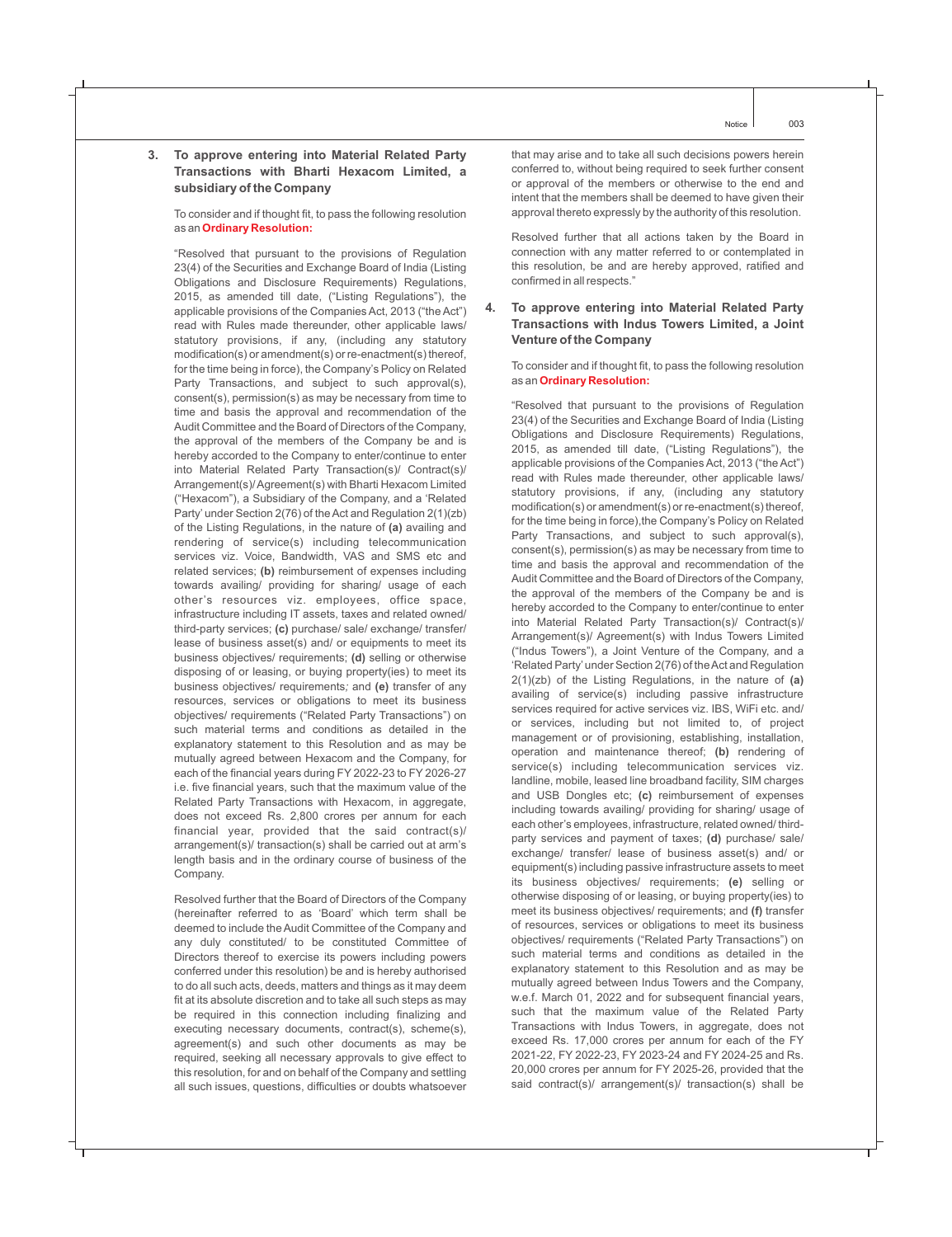#### **3. To approve entering into Material Related Party Transactions with Bharti Hexacom Limited, a subsidiary of the Company**

To consider and if thought fit, to pass the following resolution as an **Ordinary Resolution:**

"Resolved that pursuant to the provisions of Regulation 23(4) of the Securities and Exchange Board of India (Listing Obligations and Disclosure Requirements) Regulations, 2015, as amended till date, ("Listing Regulations"), the applicable provisions of the Companies Act, 2013 ("the Act") read with Rules made thereunder, other applicable laws/ statutory provisions, if any, (including any statutory modification(s) or amendment(s) or re-enactment(s) thereof, for the time being in force), the Company's Policy on Related Party Transactions, and subject to such approval(s), consent(s), permission(s) as may be necessary from time to time and basis the approval and recommendation of the Audit Committee and the Board of Directors of the Company, the approval of the members of the Company be and is hereby accorded to the Company to enter/continue to enter into Material Related Party Transaction(s)/ Contract(s)/ Arrangement(s)/ Agreement(s) with Bharti Hexacom Limited ("Hexacom"), a Subsidiary of the Company, and a 'Related Party' under Section 2(76) of the Act and Regulation 2(1)(zb) of the Listing Regulations, in the nature of **(a)** availing and rendering of service(s) including telecommunication services viz. Voice, Bandwidth, VAS and SMS etc and related services; **(b)** reimbursement of expenses including towards availing/ providing for sharing/ usage of each other's resources viz. employees, office space, infrastructure including IT assets, taxes and related owned/ third-party services; **(c)** purchase/ sale/ exchange/ transfer/ lease of business asset(s) and/ or equipments to meet its business objectives/ requirements; **(d)** selling or otherwise disposing of or leasing, or buying property(ies) to meet its business objectives/ requirements*;* and **(e)** transfer of any resources, services or obligations to meet its business objectives/ requirements ("Related Party Transactions") on such material terms and conditions as detailed in the explanatory statement to this Resolution and as may be mutually agreed between Hexacom and the Company, for each of the financial years during FY 2022-23 to FY 2026-27 i.e. five financial years, such that the maximum value of the Related Party Transactions with Hexacom, in aggregate, does not exceed Rs. 2,800 crores per annum for each financial year, provided that the said contract(s)/ arrangement(s)/ transaction(s) shall be carried out at arm's length basis and in the ordinary course of business of the Company.

Resolved further that the Board of Directors of the Company (hereinafter referred to as 'Board' which term shall be deemed to include the Audit Committee of the Company and any duly constituted/ to be constituted Committee of Directors thereof to exercise its powers including powers conferred under this resolution) be and is hereby authorised to do all such acts, deeds, matters and things as it may deem fit at its absolute discretion and to take all such steps as may be required in this connection including finalizing and executing necessary documents, contract(s), scheme(s), agreement(s) and such other documents as may be required, seeking all necessary approvals to give effect to this resolution, for and on behalf of the Company and settling all such issues, questions, difficulties or doubts whatsoever

that may arise and to take all such decisions powers herein conferred to, without being required to seek further consent or approval of the members or otherwise to the end and intent that the members shall be deemed to have given their approval thereto expressly by the authority of this resolution.

Resolved further that all actions taken by the Board in connection with any matter referred to or contemplated in this resolution, be and are hereby approved, ratified and confirmed in all respects."

#### **4. To approve entering into Material Related Party Transactions with Indus Towers Limited, a Joint Venture of the Company**

To consider and if thought fit, to pass the following resolution as an **Ordinary Resolution:**

"Resolved that pursuant to the provisions of Regulation 23(4) of the Securities and Exchange Board of India (Listing Obligations and Disclosure Requirements) Regulations, 2015, as amended till date, ("Listing Regulations"), the applicable provisions of the Companies Act, 2013 ("the Act") read with Rules made thereunder, other applicable laws/ statutory provisions, if any, (including any statutory modification(s) or amendment(s) or re-enactment(s) thereof, for the time being in force), the Company's Policy on Related Party Transactions, and subject to such approval(s), consent(s), permission(s) as may be necessary from time to time and basis the approval and recommendation of the Audit Committee and the Board of Directors of the Company, the approval of the members of the Company be and is hereby accorded to the Company to enter/continue to enter into Material Related Party Transaction(s)/ Contract(s)/ Arrangement(s)/ Agreement(s) with Indus Towers Limited ("Indus Towers"), a Joint Venture of the Company, and a 'Related Party'under Section 2(76) of the Act and Regulation 2(1)(zb) of the Listing Regulations, in the nature of **(a)** availing of service(s) including passive infrastructure services required for active services viz. IBS, WiFi etc. and/ or services, including but not limited to, of project management or of provisioning, establishing, installation, operation and maintenance thereof; **(b)** rendering of service(s) including telecommunication services viz. landline, mobile, leased line broadband facility, SIM charges and USB Dongles etc; **(c)** reimbursement of expenses including towards availing/ providing for sharing/ usage of each other's employees, infrastructure, related owned/ thirdparty services and payment of taxes; **(d)** purchase/ sale/ exchange/ transfer/ lease of business asset(s) and/ or equipment(s) including passive infrastructure assets to meet its business objectives/ requirements; **(e)** selling or otherwise disposing of or leasing, or buying property(ies) to meet its business objectives/ requirements; and **(f)** transfer of resources, services or obligations to meet its business objectives/ requirements ("Related Party Transactions") on such material terms and conditions as detailed in the explanatory statement to this Resolution and as may be mutually agreed between Indus Towers and the Company, w.e.f. March 01, 2022 and for subsequent financial years, such that the maximum value of the Related Party Transactions with Indus Towers, in aggregate, does not exceed Rs. 17,000 crores per annum for each of the FY 2021-22, FY 2022-23, FY 2023-24 and FY 2024-25 and Rs. 20,000 crores per annum for FY 2025-26, provided that the said contract(s)/ arrangement(s)/ transaction(s) shall be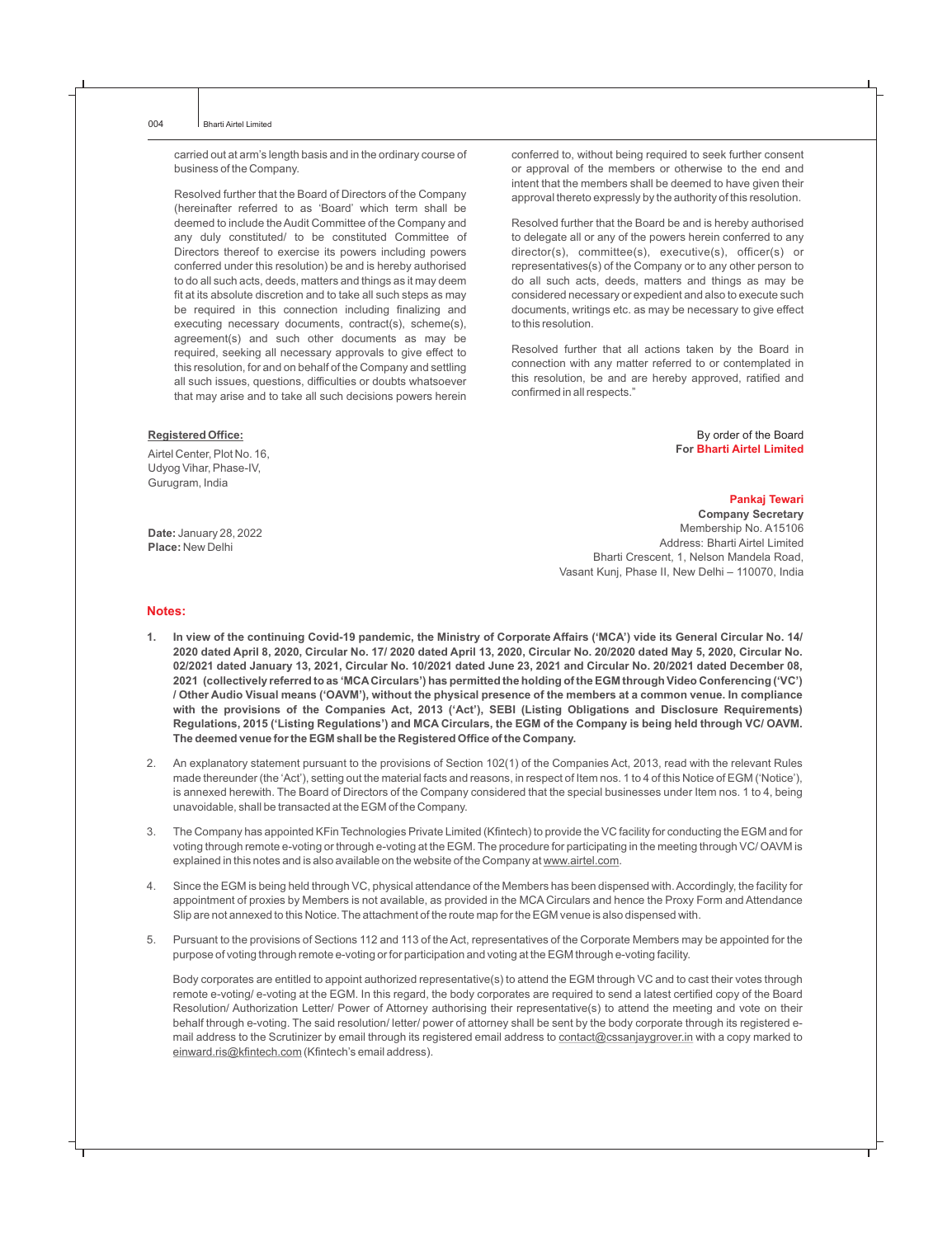carried out at arm's length basis and in the ordinary course of business of the Company.

Resolved further that the Board of Directors of the Company (hereinafter referred to as 'Board' which term shall be deemed to include the Audit Committee of the Company and any duly constituted/ to be constituted Committee of Directors thereof to exercise its powers including powers conferred under this resolution) be and is hereby authorised to do all such acts, deeds, matters and things as it may deem fit at its absolute discretion and to take all such steps as may be required in this connection including finalizing and executing necessary documents, contract(s), scheme(s), agreement(s) and such other documents as may be required, seeking all necessary approvals to give effect to this resolution, for and on behalf of the Company and settling all such issues, questions, difficulties or doubts whatsoever that may arise and to take all such decisions powers herein

#### **Registered Office:**

Airtel Center, Plot No. 16, Udyog Vihar, Phase-IV, Gurugram, India

**Date:** January 28, 2022 **Place:** New Delhi

conferred to, without being required to seek further consent or approval of the members or otherwise to the end and intent that the members shall be deemed to have given their approval thereto expressly by the authority of this resolution.

Resolved further that the Board be and is hereby authorised to delegate all or any of the powers herein conferred to any director(s), committee(s), executive(s), officer(s) or representatives(s) of the Company or to any other person to do all such acts, deeds, matters and things as may be considered necessary or expedient and also to execute such documents, writings etc. as may be necessary to give effect to this resolution.

Resolved further that all actions taken by the Board in connection with any matter referred to or contemplated in this resolution, be and are hereby approved, ratified and confirmed in all respects."

> By order of the Board **For Bharti Airtel Limited**

#### **Pankaj Tewari**

**Company Secretary** Membership No. A15106 Address: Bharti Airtel Limited Bharti Crescent, 1, Nelson Mandela Road, Vasant Kunj, Phase II, New Delhi – 110070, India

#### **Notes:**

- **1. In view of the continuing Covid-19 pandemic, the Ministry of Corporate Affairs ('MCA') vide its General Circular No. 14/ 2020 dated April 8, 2020, Circular No. 17/ 2020 dated April 13, 2020, Circular No. 20/2020 dated May 5, 2020, Circular No. 02/2021 dated January 13, 2021, Circular No. 10/2021 dated June 23, 2021 and Circular No. 20/2021 dated December 08, 2021 (collectively referred to as 'MCACirculars') has permitted the holding of the EGM through Video Conferencing ('VC') / Other Audio Visual means ('OAVM'), without the physical presence of the members at a common venue. In compliance with the provisions of the Companies Act, 2013 ('Act'), SEBI (Listing Obligations and Disclosure Requirements) Regulations, 2015 ('Listing Regulations') and MCA Circulars, the EGM of the Company is being held through VC/ OAVM. The deemed venue for the EGM shall be the Registered Office of the Company.**
- 2. An explanatory statement pursuant to the provisions of Section 102(1) of the Companies Act, 2013, read with the relevant Rules made thereunder (the 'Act'), setting out the material facts and reasons, in respect of Item nos. 1 to 4 of this Notice of EGM ('Notice'), is annexed herewith. The Board of Directors of the Company considered that the special businesses under Item nos. 1 to 4, being unavoidable, shall be transacted at the EGM of the Company.
- 3. The Company has appointed KFin Technologies Private Limited (Kfintech) to provide the VC facility for conducting the EGM and for voting through remote e-voting or through e-voting at the EGM. The procedure for participating in the meeting through VC/ OAVM is explained in this notes and is also available on the website of the Company at www.airtel.com.
- 4. Since the EGM is being held through VC, physical attendance of the Members has been dispensed with. Accordingly, the facility for appointment of proxies by Members is not available, as provided in the MCA Circulars and hence the Proxy Form and Attendance Slip are not annexed to this Notice. The attachment of the route map for the EGM venue is also dispensed with.
- 5. Pursuant to the provisions of Sections 112 and 113 of the Act, representatives of the Corporate Members may be appointed for the purpose of voting through remote e-voting or for participation and voting at the EGM through e-voting facility.

Body corporates are entitled to appoint authorized representative(s) to attend the EGM through VC and to cast their votes through remote e-voting/ e-voting at the EGM. In this regard, the body corporates are required to send a latest certified copy of the Board Resolution/ Authorization Letter/ Power of Attorney authorising their representative(s) to attend the meeting and vote on their behalf through e-voting. The said resolution/ letter/ power of attorney shall be sent by the body corporate through its registered email address to the Scrutinizer by email through its registered email address to contact@cssanjaygrover.in with a copy marked to einward.ris@kfintech.com (Kfintech's email address).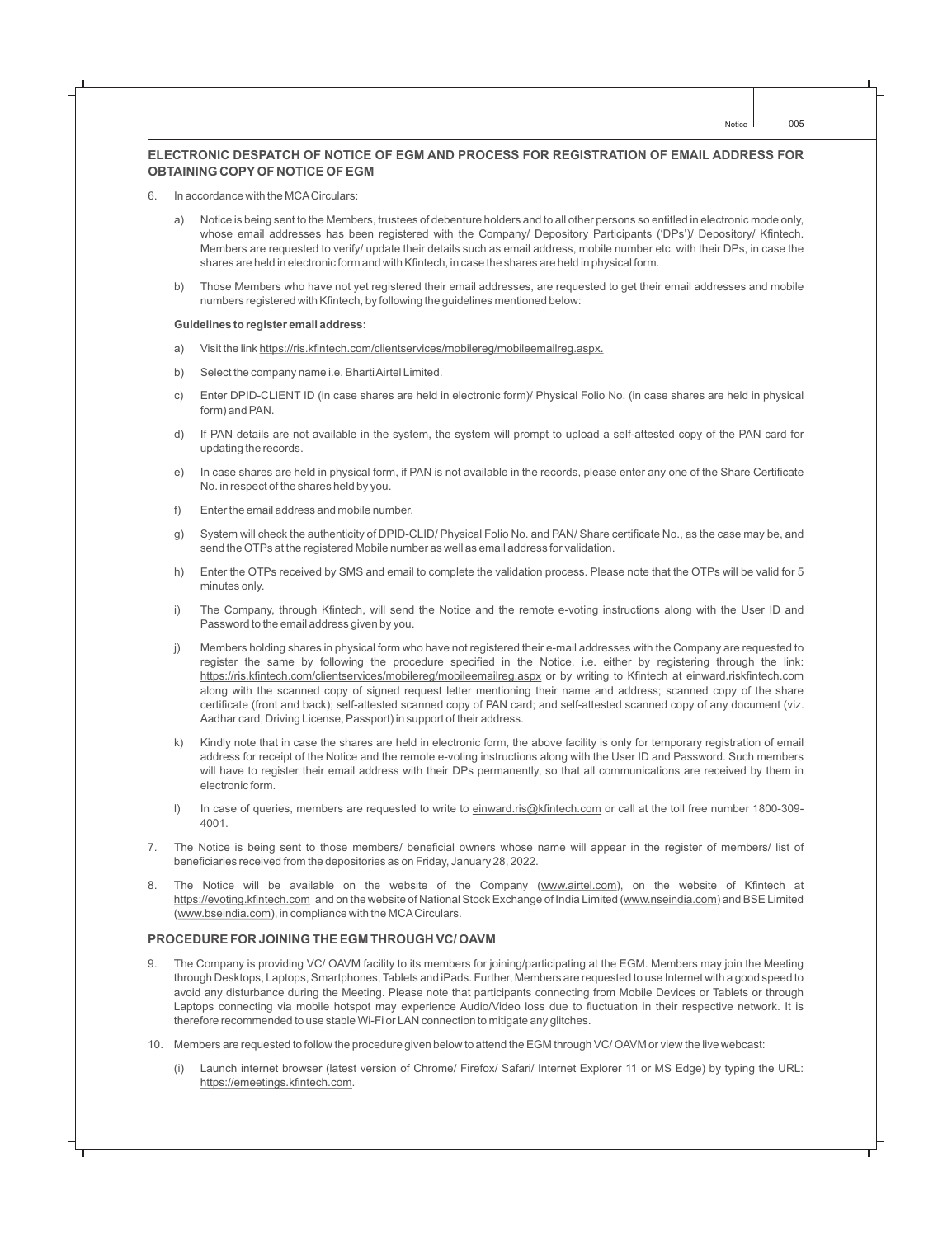### **ELECTRONIC DESPATCH OF NOTICE OF EGM AND PROCESS FOR REGISTRATION OF EMAIL ADDRESS FOR OBTAINING COPYOF NOTICE OF EGM**

- 6. In accordance with the MCACirculars:
	- a) Notice is being sent to the Members, trustees of debenture holders and to all other persons so entitled in electronic mode only, whose email addresses has been registered with the Company/ Depository Participants ('DPs')/ Depository/ Kfintech. Members are requested to verify/ update their details such as email address, mobile number etc. with their DPs, in case the shares are held in electronic form and with Kfintech, in case the shares are held in physical form.
	- b) Those Members who have not yet registered their email addresses, are requested to get their email addresses and mobile numbers registered with Kfintech, by following the guidelines mentioned below:

#### **Guidelines to register email address:**

- a) Visit the link https://ris.kfintech.com/clientservices/mobilereg/mobileemailreg.aspx.
- b) Select the company name i.e. Bharti Airtel Limited.
- c) Enter DPID-CLIENT ID (in case shares are held in electronic form)/ Physical Folio No. (in case shares are held in physical form) and PAN.
- d) If PAN details are not available in the system, the system will prompt to upload a self-attested copy of the PAN card for updating the records.
- e) In case shares are held in physical form, if PAN is not available in the records, please enter any one of the Share Certificate No. in respect of the shares held by you.
- f) Enter the email address and mobile number.
- g) System will check the authenticity of DPID-CLID/ Physical Folio No. and PAN/ Share certificate No., as the case may be, and send the OTPs at the registered Mobile number as well as email address for validation.
- h) Enter the OTPs received by SMS and email to complete the validation process. Please note that the OTPs will be valid for 5 minutes only.
- i) The Company, through Kfintech, will send the Notice and the remote e-voting instructions along with the User ID and Password to the email address given by you.
- j) Members holding shares in physical form who have not registered their e-mail addresses with the Company are requested to register the same by following the procedure specified in the Notice, i.e. either by registering through the link: https://ris.kfintech.com/clientservices/mobilereg/mobileemailreg.aspx or by writing to Kfintech at einward.riskfintech.com along with the scanned copy of signed request letter mentioning their name and address; scanned copy of the share certificate (front and back); self-attested scanned copy of PAN card; and self-attested scanned copy of any document (viz. Aadhar card, Driving License, Passport) in support of their address.
- k) Kindly note that in case the shares are held in electronic form, the above facility is only for temporary registration of email address for receipt of the Notice and the remote e-voting instructions along with the User ID and Password. Such members will have to register their email address with their DPs permanently, so that all communications are received by them in electronic form.
- I) In case of queries, members are requested to write to einward.ris@kfintech.com or call at the toll free number 1800-309-4001.
- 7. The Notice is being sent to those members/ beneficial owners whose name will appear in the register of members/ list of beneficiaries received from the depositories as on Friday, January 28, 2022.
- 8. The Notice will be available on the website of the Company (www.airtel.com), on the website of Kfintech at https://evoting.kfintech.com and on the website of National Stock Exchange of India Limited (www.nseindia.com) and BSE Limited (www.bseindia.com), in compliance with the MCACirculars.

#### **PROCEDURE FOR JOINING THE EGM THROUGH VC/ OAVM**

- 9. The Company is providing VC/ OAVM facility to its members for joining/participating at the EGM. Members may join the Meeting through Desktops, Laptops, Smartphones, Tablets and iPads. Further, Members are requested to use Internet with a good speed to avoid any disturbance during the Meeting. Please note that participants connecting from Mobile Devices or Tablets or through Laptops connecting via mobile hotspot may experience Audio/Video loss due to fluctuation in their respective network. It is therefore recommended to use stable Wi-Fi or LAN connection to mitigate any glitches.
- 10. Members are requested to follow the procedure given below to attend the EGM through VC/ OAVM or view the live webcast:
	- (i) Launch internet browser (latest version of Chrome/ Firefox/ Safari/ Internet Explorer 11 or MS Edge) by typing the URL: https://emeetings.kfintech.com.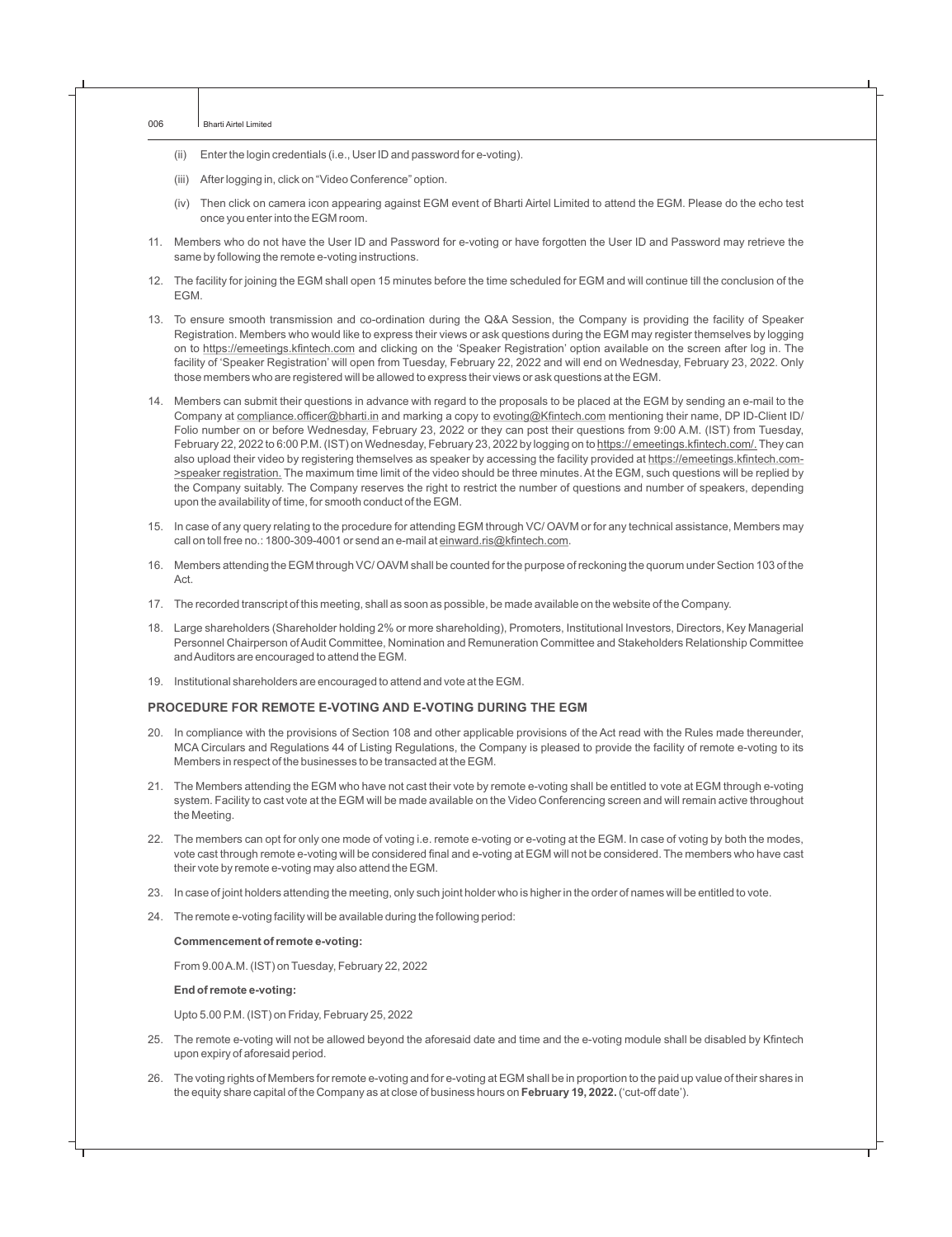- (ii) Enter the login credentials (i.e., User ID and password for e-voting).
- (iii) After logging in, click on "Video Conference" option.
- (iv) Then click on camera icon appearing against EGM event of Bharti Airtel Limited to attend the EGM. Please do the echo test once you enter into the EGM room.
- 11. Members who do not have the User ID and Password for e-voting or have forgotten the User ID and Password may retrieve the same by following the remote e-voting instructions.
- 12. The facility for joining the EGM shall open 15 minutes before the time scheduled for EGM and will continue till the conclusion of the EGM.
- 13. To ensure smooth transmission and co-ordination during the Q&A Session, the Company is providing the facility of Speaker Registration. Members who would like to express their views or ask questions during the EGM may register themselves by logging on to https://emeetings.kfintech.com and clicking on the 'Speaker Registration' option available on the screen after log in. The facility of 'Speaker Registration' will open from Tuesday, February 22, 2022 and will end on Wednesday, February 23, 2022. Only those members who are registered will be allowed to express their views or ask questions at the EGM.
- 14. Members can submit their questions in advance with regard to the proposals to be placed at the EGM by sending an e-mail to the Company at compliance.officer@bharti.in and marking a copy to evoting@Kfintech.com mentioning their name, DP ID-Client ID/ Folio number on or before Wednesday, February 23, 2022 or they can post their questions from 9:00 A.M. (IST) from Tuesday, February 22, 2022 to 6:00 P.M. (IST) on Wednesday, February 23, 2022 by logging on to https:// emeetings.kfintech.com/. They can also upload their video by registering themselves as speaker by accessing the facility provided at https://emeetings.kfintech.com->speaker registration. The maximum time limit of the video should be three minutes. At the EGM, such questions will be replied by the Company suitably. The Company reserves the right to restrict the number of questions and number of speakers, depending upon the availability of time, for smooth conduct of the EGM.
- 15. In case of any query relating to the procedure for attending EGM through VC/ OAVM or for any technical assistance, Members may call on toll free no.: 1800-309-4001 or send an e-mail at einward.ris@kfintech.com.
- 16. Members attending the EGM through VC/ OAVM shall be counted for the purpose of reckoning the quorum under Section 103 of the Act.
- 17. The recorded transcript of this meeting, shall as soon as possible, be made available on the website of the Company.
- 18. Large shareholders (Shareholder holding 2% or more shareholding), Promoters, Institutional Investors, Directors, Key Managerial Personnel Chairperson of Audit Committee, Nomination and Remuneration Committee and Stakeholders Relationship Committee and Auditors are encouraged to attend the EGM.
- 19. Institutional shareholders are encouraged to attend and vote at the EGM.

#### **PROCEDURE FOR REMOTE E-VOTING AND E-VOTING DURING THE EGM**

- 20. In compliance with the provisions of Section 108 and other applicable provisions of the Act read with the Rules made thereunder, MCA Circulars and Regulations 44 of Listing Regulations, the Company is pleased to provide the facility of remote e-voting to its Members in respect of the businesses to be transacted at the EGM.
- 21. The Members attending the EGM who have not cast their vote by remote e-voting shall be entitled to vote at EGM through e-voting system. Facility to cast vote at the EGM will be made available on the Video Conferencing screen and will remain active throughout the Meeting.
- 22. The members can opt for only one mode of voting i.e. remote e-voting or e-voting at the EGM. In case of voting by both the modes, vote cast through remote e-voting will be considered final and e-voting at EGM will not be considered. The members who have cast their vote by remote e-voting may also attend the EGM.
- 23. In case of joint holders attending the meeting, only such joint holder who is higher in the order of names will be entitled to vote.
- 24. The remote e-voting facility will be available during the following period:

#### **Commencement of remote e-voting:**

From 9.00 A.M. (IST) on Tuesday, February 22, 2022

#### **End of remote e-voting:**

Upto 5.00 P.M. (IST) on Friday, February 25, 2022

- 25. The remote e-voting will not be allowed beyond the aforesaid date and time and the e-voting module shall be disabled by Kfintech upon expiry of aforesaid period.
- 26. The voting rights of Members for remote e-voting and for e-voting at EGM shall be in proportion to the paid up value of their shares in the equity share capital of the Company as at close of business hours on **February 19, 2022.** ('cut-off date').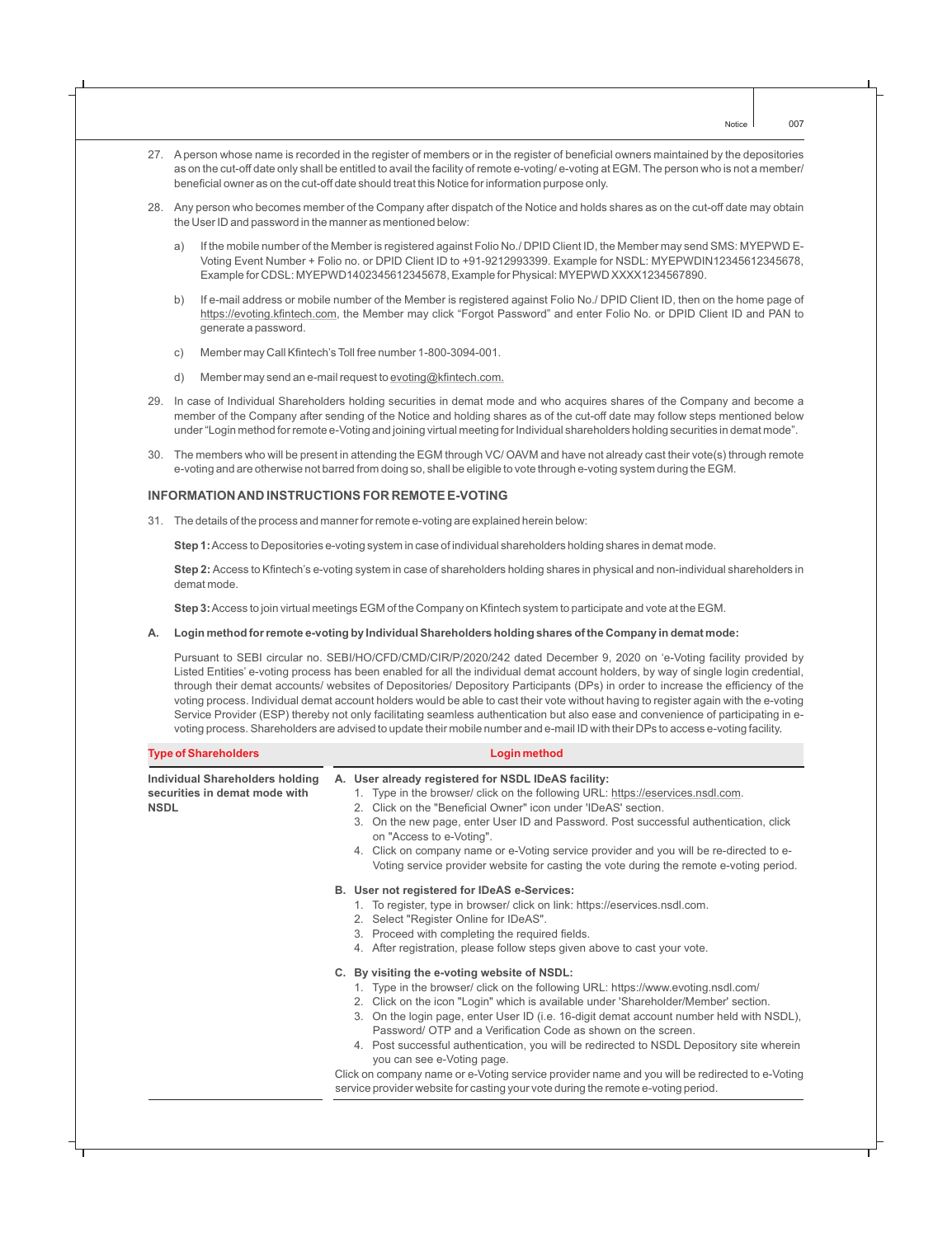- 27. Aperson whose name is recorded in the register of members or in the register of beneficial owners maintained by the depositories as on the cut-off date only shall be entitled to avail the facility of remote e-voting/ e-voting at EGM. The person who is not a member/ beneficial owner as on the cut-off date should treat this Notice for information purpose only.
- 28. Any person who becomes member of the Company after dispatch of the Notice and holds shares as on the cut-off date may obtain the User ID and password in the manner as mentioned below:
	- a) If the mobile number of the Member is registered against Folio No./ DPID Client ID, the Member may send SMS: MYEPWD E-Voting Event Number + Folio no. or DPID Client ID to +91-9212993399. Example for NSDL: MYEPWDIN12345612345678, Example for CDSL: MYEPWD1402345612345678, Example for Physical: MYEPWD XXXX1234567890.
	- b) If e-mail address or mobile number of the Member is registered against Folio No./ DPID Client ID, then on the home page of https://evoting.kfintech.com, the Member may click "Forgot Password" and enter Folio No. or DPID Client ID and PAN to generate a password.
	- c) Member may Call Kfintech's Toll free number 1-800-3094-001.
	- d) Member may send an e-mail request to evoting@kfintech.com.
- 29. In case of Individual Shareholders holding securities in demat mode and who acquires shares of the Company and become a member of the Company after sending of the Notice and holding shares as of the cut-off date may follow steps mentioned below under "Login method for remote e-Voting and joining virtual meeting for Individual shareholders holding securities in demat mode".
- 30. The members who will be present in attending the EGM through VC/ OAVM and have not already cast their vote(s) through remote e-voting and are otherwise not barred from doing so, shall be eligible to vote through e-voting system during the EGM.

#### **INFORMATION AND INSTRUCTIONS FOR REMOTE E-VOTING**

31. The details of the process and manner for remote e-voting are explained herein below:

**Step 1:**Access to Depositories e-voting system in case of individual shareholders holding shares in demat mode.

**Step 2:** Access to Kfintech's e-voting system in case of shareholders holding shares in physical and non-individual shareholders in demat mode.

**Step 3:**Access to join virtual meetings EGM of the Company on Kfintech system to participate and vote at the EGM.

#### **A. Login method for remote e-voting by Individual Shareholders holding shares of the Company in demat mode:**

Pursuant to SEBI circular no. SEBI/HO/CFD/CMD/CIR/P/2020/242 dated December 9, 2020 on 'e-Voting facility provided by Listed Entities' e-voting process has been enabled for all the individual demat account holders, by way of single login credential, through their demat accounts/ websites of Depositories/ Depository Participants (DPs) in order to increase the efficiency of the voting process. Individual demat account holders would be able to cast their vote without having to register again with the e-voting Service Provider (ESP) thereby not only facilitating seamless authentication but also ease and convenience of participating in evoting process. Shareholders are advised to update their mobile number and e-mail ID with their DPs to access e-voting facility .

| <b>Type of Shareholders</b>                                                     | Login method                                                                                                                                                                                                                                                                                                                                                                                                                                                                                                                                                                                                                                                                                            |  |  |
|---------------------------------------------------------------------------------|---------------------------------------------------------------------------------------------------------------------------------------------------------------------------------------------------------------------------------------------------------------------------------------------------------------------------------------------------------------------------------------------------------------------------------------------------------------------------------------------------------------------------------------------------------------------------------------------------------------------------------------------------------------------------------------------------------|--|--|
| Individual Shareholders holding<br>securities in demat mode with<br><b>NSDL</b> | A. User already registered for NSDL IDeAS facility:<br>1. Type in the browser/ click on the following URL: https://eservices.nsdl.com.<br>2. Click on the "Beneficial Owner" icon under 'IDeAS' section.<br>On the new page, enter User ID and Password. Post successful authentication, click<br>3.<br>on "Access to e-Voting".<br>4. Click on company name or e-Voting service provider and you will be re-directed to e-<br>Voting service provider website for casting the vote during the remote e-voting period.                                                                                                                                                                                  |  |  |
|                                                                                 | B. User not registered for IDeAS e-Services:<br>1. To register, type in browser/ click on link: https://eservices.nsdl.com.<br>2. Select "Register Online for IDeAS".<br>3. Proceed with completing the required fields.<br>4. After registration, please follow steps given above to cast your vote.                                                                                                                                                                                                                                                                                                                                                                                                   |  |  |
|                                                                                 | C. By visiting the e-voting website of NSDL:<br>1. Type in the browser/ click on the following URL: https://www.evoting.nsdl.com/<br>2. Click on the icon "Login" which is available under 'Shareholder/Member' section.<br>3. On the login page, enter User ID (i.e. 16-digit demat account number held with NSDL),<br>Password/ OTP and a Verification Code as shown on the screen.<br>4. Post successful authentication, you will be redirected to NSDL Depository site wherein<br>you can see e-Voting page.<br>Click on company name or e-Voting service provider name and you will be redirected to e-Voting<br>service provider website for casting your vote during the remote e-voting period. |  |  |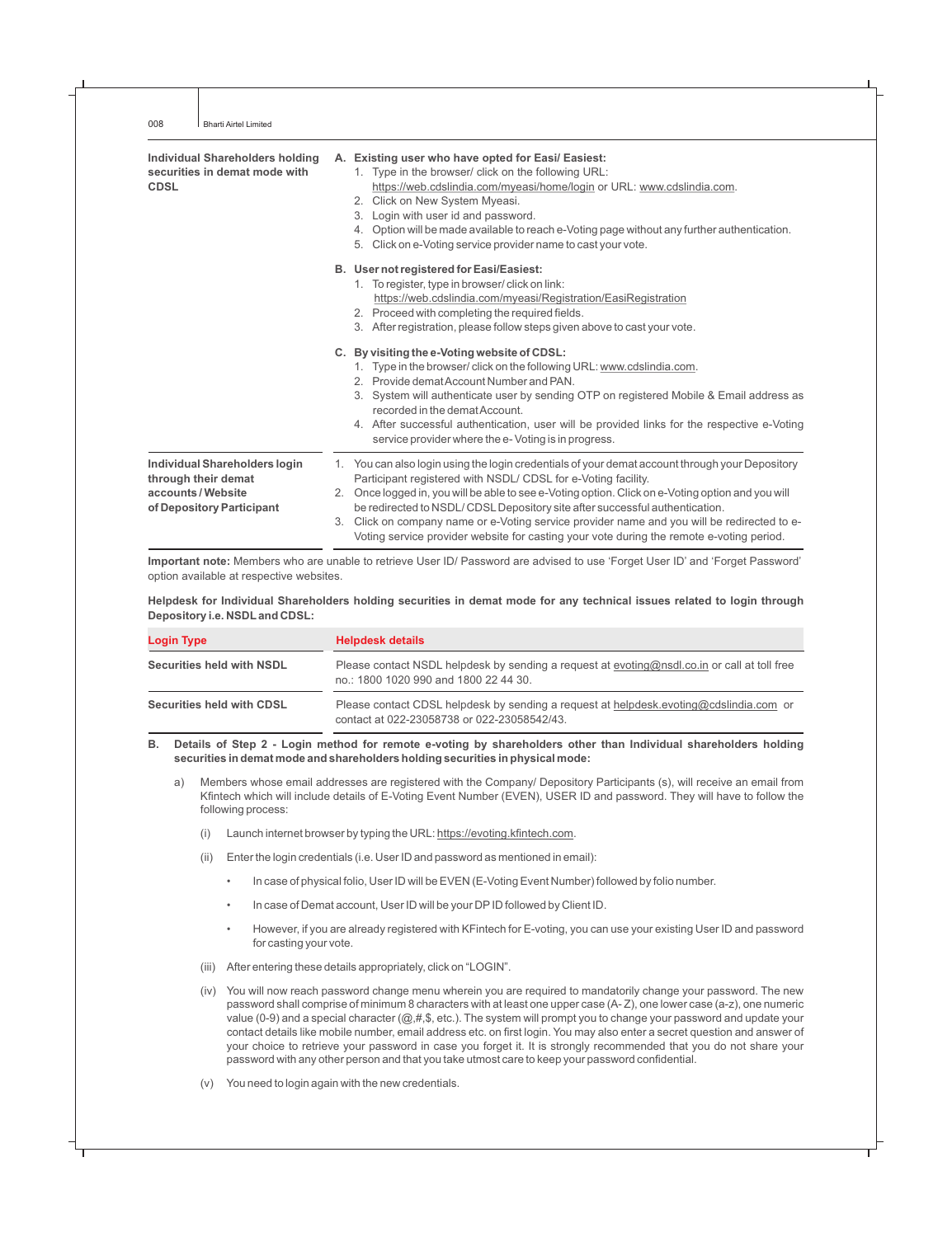| Individual Shareholders holding<br>securities in demat mode with<br><b>CDSL</b>                       |    | A. Existing user who have opted for Easi/ Easiest:<br>1. Type in the browser/ click on the following URL:<br>https://web.cdslindia.com/myeasi/home/login or URL: www.cdslindia.com.<br>Click on New System Myeasi.<br>2.<br>Login with user id and password.<br>3.<br>Option will be made available to reach e-Voting page without any further authentication.<br>4.<br>Click on e-Voting service provider name to cast your vote.<br>5.                                                                                                      |
|-------------------------------------------------------------------------------------------------------|----|-----------------------------------------------------------------------------------------------------------------------------------------------------------------------------------------------------------------------------------------------------------------------------------------------------------------------------------------------------------------------------------------------------------------------------------------------------------------------------------------------------------------------------------------------|
|                                                                                                       |    | B. User not registered for Easi/Easiest:<br>1. To register, type in browser/ click on link:<br>https://web.cdslindia.com/myeasi/Registration/EasiRegistration<br>2. Proceed with completing the required fields.<br>3. After registration, please follow steps given above to cast your vote.                                                                                                                                                                                                                                                 |
|                                                                                                       |    | C. By visiting the e-Voting website of CDSL:<br>1. Type in the browser/click on the following URL: www.cdslindia.com.<br>2. Provide demat Account Number and PAN.<br>3. System will authenticate user by sending OTP on registered Mobile & Email address as<br>recorded in the demat Account.<br>4. After successful authentication, user will be provided links for the respective e-Voting<br>service provider where the e-Voting is in progress.                                                                                          |
| Individual Shareholders login<br>through their demat<br>accounts/Website<br>of Depository Participant | 3. | 1. You can also login using the login credentials of your demat account through your Depository<br>Participant registered with NSDL/ CDSL for e-Voting facility.<br>2. Once logged in, you will be able to see e-Voting option. Click on e-Voting option and you will<br>be redirected to NSDL/ CDSL Depository site after successful authentication.<br>Click on company name or e-Voting service provider name and you will be redirected to e-<br>Voting service provider website for casting your vote during the remote e-voting period. |

**Important note:** Members who are unable to retrieve User ID/ Password are advised to use 'Forget User ID' and 'Forget Password' option available at respective websites.

**Helpdesk for Individual Shareholders holding securities in demat mode for any technical issues related to login through Depository i.e. NSDLand CDSL:**

| <b>Login Type</b>                | <b>Helpdesk details</b>                                                                                                                  |  |
|----------------------------------|------------------------------------------------------------------------------------------------------------------------------------------|--|
| <b>Securities held with NSDL</b> | Please contact NSDL helpdesk by sending a request at evoting $@nsdl.co.in$ or call at toll free<br>no.: 1800 1020 990 and 1800 22 44 30. |  |
| <b>Securities held with CDSL</b> | Please contact CDSL helpdesk by sending a request at helpdesk evoting@cdslindia.com or<br>contact at 022-23058738 or 022-23058542/43.    |  |

**B. Details of Step 2 - Login method for remote e-voting by shareholders other than Individual shareholders holding securities in demat mode and shareholders holding securities in physical mode:**

- a) Members whose email addresses are registered with the Company/ Depository Participants (s), will receive an email from Kfintech which will include details of E-Voting Event Number (EVEN), USER ID and password. They will have to follow the following process:
	- (i) Launch internet browser by typing the URL: https://evoting.kfintech.com.
	- (ii) Enter the login credentials (i.e. User ID and password as mentioned in email):
		- In case of physical folio, User ID will be EVEN (E-Voting Event Number) followed by folio number.
		- In case of Demat account, User ID will be your DPID followed by Client ID.
		- However, if you are already registered with KFintech for E-voting, you can use your existing User ID and password for casting your vote.
	- (iii) After entering these details appropriately, click on "LOGIN".
	- (iv) You will now reach password change menu wherein you are required to mandatorily change your password. The new password shall comprise of minimum 8 characters with at least one upper case (A- Z), one lower case (a-z), one numeric value (0-9) and a special character  $(Q, \#, \$)$ , etc.). The system will prompt you to change your password and update your contact details like mobile number, email address etc. on first login. You may also enter a secret question and answer of your choice to retrieve your password in case you forget it. It is strongly recommended that you do not share your password with any other person and that you take utmost care to keep your password confidential.
	- (v) You need to login again with the new credentials.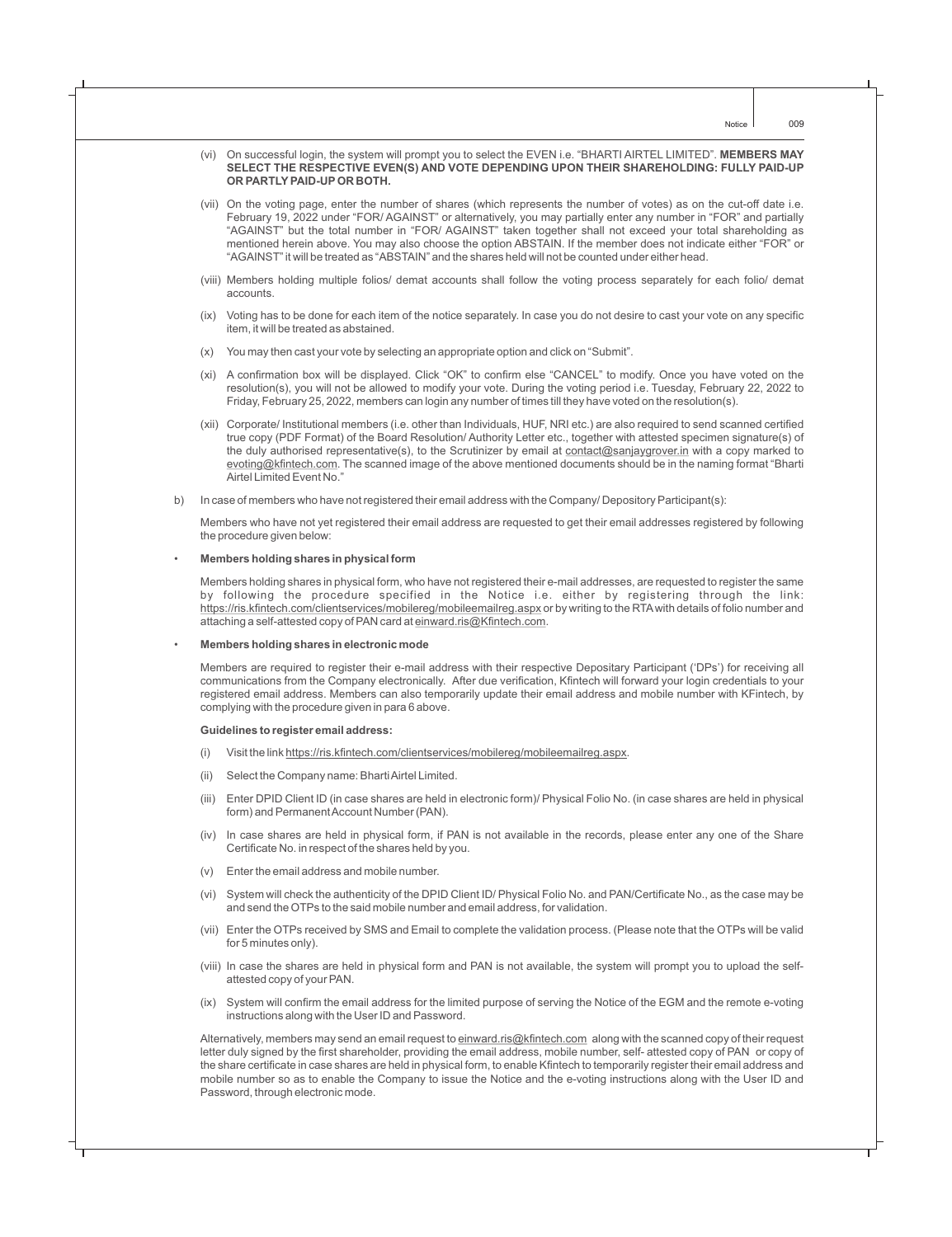- (vi) On successful login, the system will prompt you to select the EVEN i.e. "BHARTI AIRTEL LIMITED". **MEMBERS MAY SELECT THE RESPECTIVE EVEN(S) AND VOTE DEPENDING UPON THEIR SHAREHOLDING: FULLY PAID-UP OR PARTLY PAID-UP OR BOTH.**
- (vii) On the voting page, enter the number of shares (which represents the number of votes) as on the cut-off date i.e. February 19, 2022 under "FOR/ AGAINST" or alternatively, you may partially enter any number in "FOR" and partially "AGAINST" but the total number in "FOR/ AGAINST" taken together shall not exceed your total shareholding as mentioned herein above. You may also choose the option ABSTAIN. If the member does not indicate either "FOR" or "AGAINST" it will be treated as "ABSTAIN" and the shares held will not be counted under either head.
- (viii) Members holding multiple folios/ demat accounts shall follow the voting process separately for each folio/ demat accounts.
- (ix) Voting has to be done for each item of the notice separately. In case you do not desire to cast your vote on any specific item, it will be treated as abstained.
- (x) You may then cast your vote by selecting an appropriate option and click on "Submit".
- (xi) A confirmation box will be displayed. Click "OK" to confirm else "CANCEL" to modify. Once you have voted on the resolution(s), you will not be allowed to modify your vote. During the voting period i.e. Tuesday, February 22, 2022 to Friday, February 25, 2022, members can login any number of times till they have voted on the resolution(s).
- (xii) Corporate/ Institutional members (i.e. other than Individuals, HUF, NRI etc.) are also required to send scanned certified true copy (PDF Format) of the Board Resolution/ Authority Letter etc., together with attested specimen signature(s) of the duly authorised representative(s), to the Scrutinizer by email at contact@sanjaygrover.in with a copy marked to evoting@kfintech.com. The scanned image of the above mentioned documents should be in the naming format "Bharti Airtel Limited Event No."
- b) In case of members who have not registered their email address with the Company/ Depository Participant(s):

Members who have not yet registered their email address are requested to get their email addresses registered by following the procedure given below:

#### • **Members holding shares in physical form**

Members holding shares in physical form, who have not registered their e-mail addresses, are requested to register the same by following the procedure specified in the Notice i.e. either by registering through the link: https://ris.kfintech.com/clientservices/mobilereg/mobileemailreg.aspx or by writing to the RTAwith details of folio number and attaching a self-attested copy of PAN card at einward.ris@Kfintech.com.

• **Members holding shares in electronic mode**

Members are required to register their e-mail address with their respective Depositary Participant ('DPs') for receiving all communications from the Company electronically. After due verification, Kfintech will forward your login credentials to your registered email address. Members can also temporarily update their email address and mobile number with KFintech, by complying with the procedure given in para 6 above.

#### **Guidelines to register email address:**

- (i) Visit the link https://ris.kfintech.com/clientservices/mobilereg/mobileemailreg.aspx.
- (ii) Select the Company name: Bharti Airtel Limited.
- (iii) Enter DPID Client ID (in case shares are held in electronic form)/ Physical Folio No. (in case shares are held in physical form) and Permanent Account Number (PAN).
- (iv) In case shares are held in physical form, if PAN is not available in the records, please enter any one of the Share Certificate No. in respect of the shares held by you.
- (v) Enter the email address and mobile number.
- (vi) System will check the authenticity of the DPID Client ID/ Physical Folio No. and PAN/Certificate No., as the case may be and send the OTPs to the said mobile number and email address, for validation.
- (vii) Enter the OTPs received by SMS and Email to complete the validation process. (Please note that the OTPs will be valid for 5 minutes only).
- (viii) In case the shares are held in physical form and PAN is not available, the system will prompt you to upload the selfattested copy of your PAN.
- (ix) System will confirm the email address for the limited purpose of serving the Notice of the EGM and the remote e-voting instructions along with the User ID and Password.

Alternatively, members may send an email request to einward.ris@kfintech.com along with the scanned copy of their request letter duly signed by the first shareholder, providing the email address, mobile number, self- attested copy of PAN or copy of the share certificate in case shares are held in physical form, to enable Kfintech to temporarily register their email address and mobile number so as to enable the Company to issue the Notice and the e-voting instructions along with the User ID and Password, through electronic mode.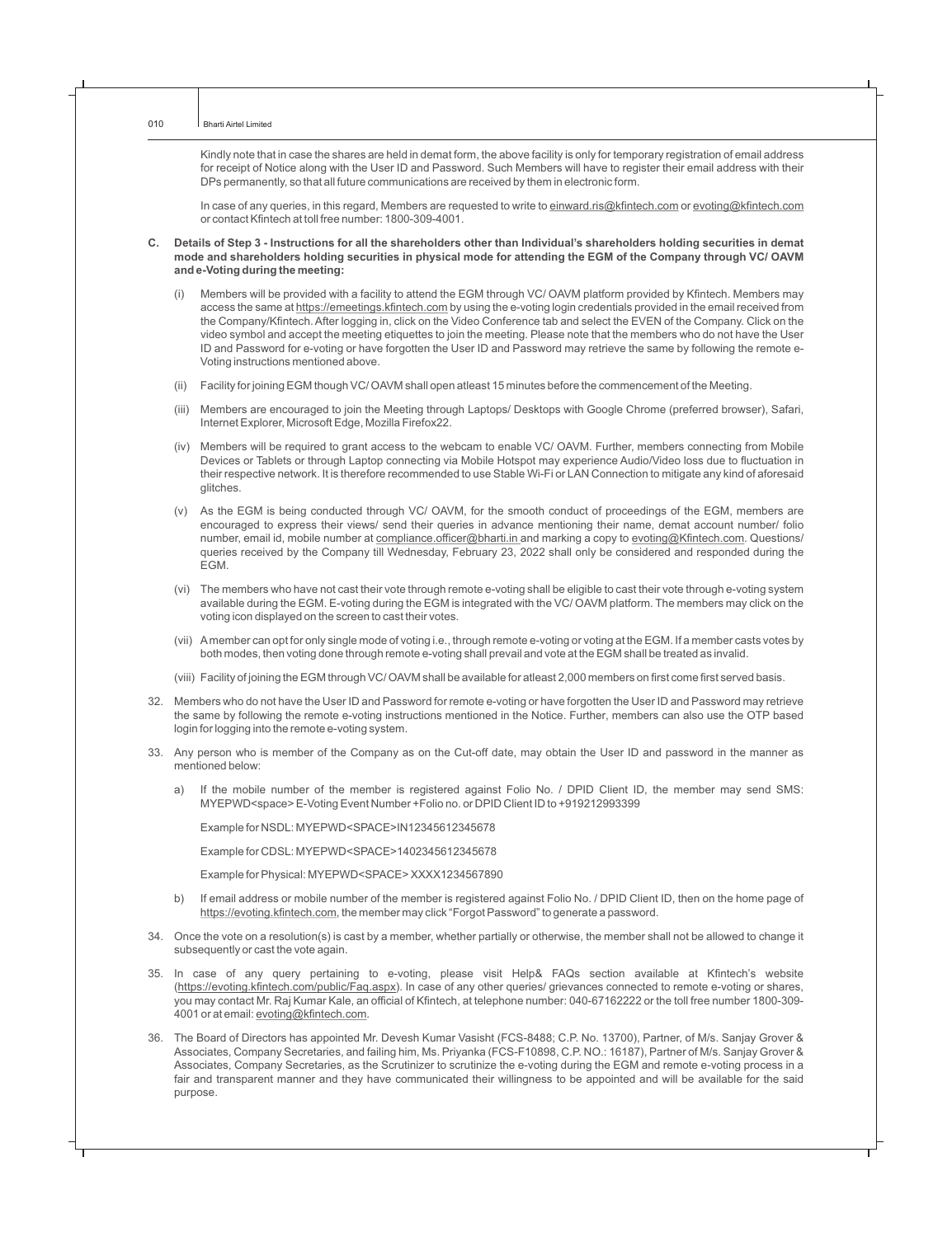Kindly note that in case the shares are held in demat form, the above facility is only for temporary registration of email address for receipt of Notice along with the User ID and Password. Such Members will have to register their email address with their DPs permanently, so that all future communications are received by them in electronic form.

In case of any queries, in this regard, Members are requested to write to einward.ris@kfintech.com or evoting@kfintech.com or contact Kfintech at toll free number: 1800-309-4001.

- **C. Details of Step 3 Instructions for all the shareholders other than Individual's shareholders holding securities in demat mode and shareholders holding securities in physical mode for attending the EGM of the Company through VC/ OAVM and e-Voting during the meeting:**
	- (i) Members will be provided with a facility to attend the EGM through VC/ OAVM platform provided by Kfintech. Members may access the same at https://emeetings.kfintech.com by using the e-voting login credentials provided in the email received from the Company/Kfintech. After logging in, click on the Video Conference tab and select the EVEN of the Company. Click on the video symbol and accept the meeting etiquettes to join the meeting. Please note that the members who do not have the User ID and Password for e-voting or have forgotten the User ID and Password may retrieve the same by following the remote e-Voting instructions mentioned above.
	- (ii) Facility for joining EGM though VC/ OAVM shall open atleast 15 minutes before the commencement of the Meeting.
	- (iii) Members are encouraged to join the Meeting through Laptops/ Desktops with Google Chrome (preferred browser), Safari, Internet Explorer, Microsoft Edge, Mozilla Firefox22.
	- (iv) Members will be required to grant access to the webcam to enable VC/ OAVM. Further, members connecting from Mobile Devices or Tablets or through Laptop connecting via Mobile Hotspot may experience Audio/Video loss due to fluctuation in their respective network. It is therefore recommended to use Stable Wi-Fi or LAN Connection to mitigate any kind of aforesaid glitches.
	- (v) As the EGM is being conducted through VC/ OAVM, for the smooth conduct of proceedings of the EGM, members are encouraged to express their views/ send their queries in advance mentioning their name, demat account number/ folio number, email id, mobile number at compliance.officer@bharti.in and marking a copy to evoting@Kfintech.com. Questions/ queries received by the Company till Wednesday, February 23, 2022 shall only be considered and responded during the EGM.
	- (vi) The members who have not cast their vote through remote e-voting shall be eligible to cast their vote through e-voting system available during the EGM. E-voting during the EGM is integrated with the VC/ OAVM platform. The members may click on the voting icon displayed on the screen to cast their votes.
	- (vii) Amember can opt for only single mode of voting i.e., through remote e-voting or voting at the EGM. If a member casts votes by both modes, then voting done through remote e-voting shall prevail and vote at the EGM shall be treated as invalid.
	- (viii) Facility of joining the EGM through VC/ OAVM shall be available for atleast 2,000 members on first come first served basis.
- 32. Members who do not have the User ID and Password for remote e-voting or have forgotten the User ID and Password may retrieve the same by following the remote e-voting instructions mentioned in the Notice. Further, members can also use the OTP based login for logging into the remote e-voting system.
- 33. Any person who is member of the Company as on the Cut-off date, may obtain the User ID and password in the manner as mentioned below:
	- a) If the mobile number of the member is registered against Folio No. / DPID Client ID, the member may send SMS: MYEPWD<space> E-Voting Event Number +Folio no. or DPID Client ID to +919212993399

Example for NSDL: MYEPWD<SPACE>IN12345612345678

Example for CDSL: MYEPWD<SPACE>1402345612345678

Example for Physical: MYEPWD<SPACE> XXXX1234567890

- b) If email address or mobile number of the member is registered against Folio No. / DPID Client ID, then on the home page of https://evoting.kfintech.com, the member may click "Forgot Password" to generate a password.
- 34. Once the vote on a resolution(s) is cast by a member, whether partially or otherwise, the member shall not be allowed to change it subsequently or cast the vote again.
- 35. In case of any query pertaining to e-voting, please visit Help& FAQs section available at Kfintech's website (https://evoting.kfintech.com/public/Faq.aspx). In case of any other queries/ grievances connected to remote e-voting or shares, you may contact Mr. Raj Kumar Kale, an official of Kfintech, at telephone number: 040-67162222 or the toll free number 1800-309- 4001 or at email: evoting@kfintech.com.
- 36. The Board of Directors has appointed Mr. Devesh Kumar Vasisht (FCS-8488; C.P. No. 13700), Partner, of M/s. Sanjay Grover & Associates, Company Secretaries, and failing him, Ms. Priyanka (FCS-F10898, C.P. NO.: 16187), Partner of M/s. Sanjay Grover & Associates, Company Secretaries, as the Scrutinizer to scrutinize the e-voting during the EGM and remote e-voting process in a fair and transparent manner and they have communicated their willingness to be appointed and will be available for the said purpose.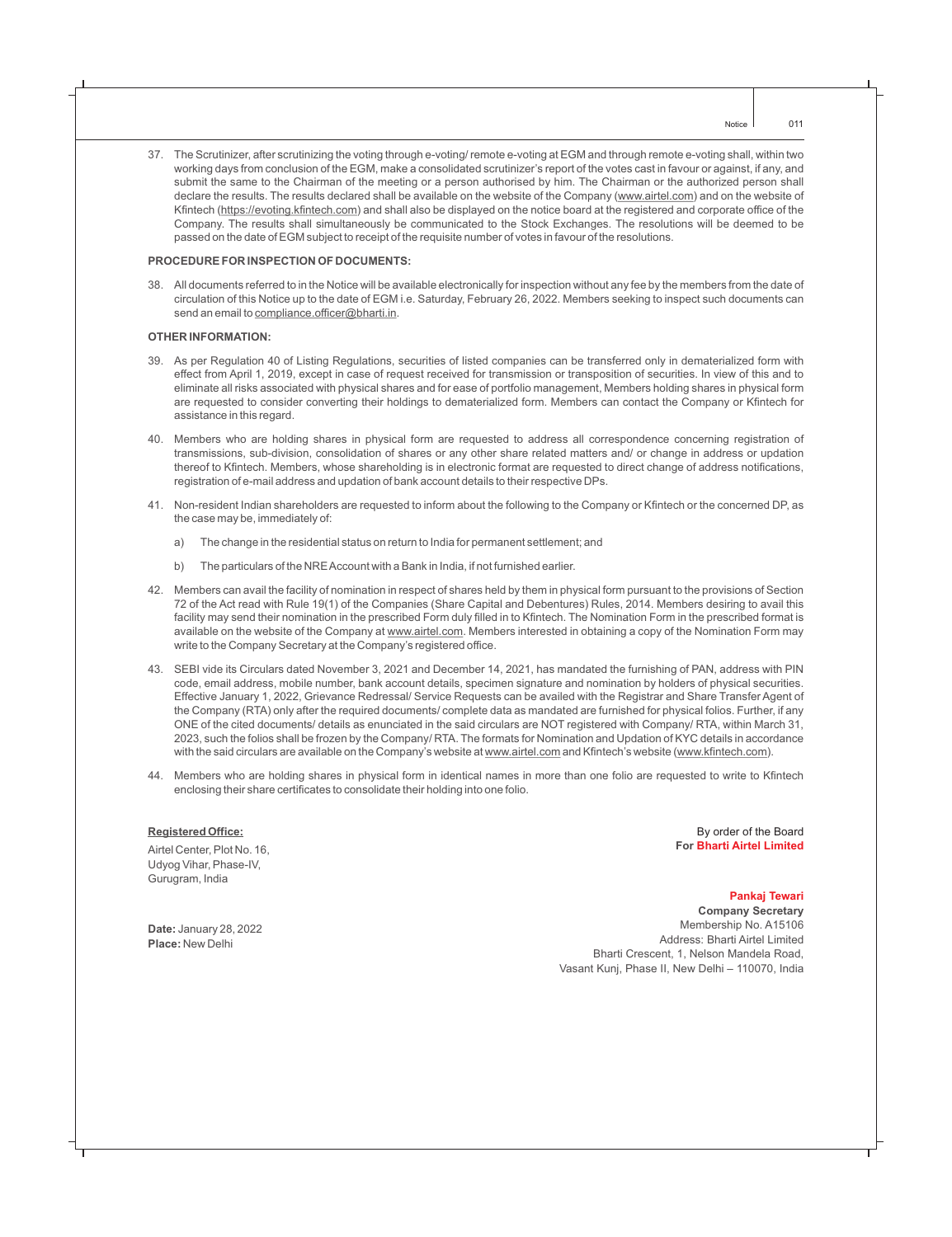37. The Scrutinizer, after scrutinizing the voting through e-voting/ remote e-voting at EGM and through remote e-voting shall, within two working days from conclusion of the EGM, make a consolidated scrutinizer's report of the votes cast in favour or against, if any, and submit the same to the Chairman of the meeting or a person authorised by him. The Chairman or the authorized person shall declare the results. The results declared shall be available on the website of the Company (www.airtel.com) and on the website of Kfintech (https://evoting.kfintech.com) and shall also be displayed on the notice board at the registered and corporate office of the Company. The results shall simultaneously be communicated to the Stock Exchanges. The resolutions will be deemed to be passed on the date of EGM subject to receipt of the requisite number of votes in favour of the resolutions.

#### **PROCEDURE FOR INSPECTION OF DOCUMENTS:**

38. All documents referred to in the Notice will be available electronically for inspection without any fee by the members from the date of circulation of this Notice up to the date of EGM i.e. Saturday, February 26, 2022. Members seeking to inspect such documents can send an email to compliance.officer@bharti.in.

#### **OTHER INFORMATION:**

- 39. As per Regulation 40 of Listing Regulations, securities of listed companies can be transferred only in dematerialized form with effect from April 1, 2019, except in case of request received for transmission or transposition of securities. In view of this and to eliminate all risks associated with physical shares and for ease of portfolio management, Members holding shares in physical form are requested to consider converting their holdings to dematerialized form. Members can contact the Company or Kfintech for assistance in this regard.
- 40. Members who are holding shares in physical form are requested to address all correspondence concerning registration of transmissions, sub-division, consolidation of shares or any other share related matters and/ or change in address or updation thereof to Kfintech. Members, whose shareholding is in electronic format are requested to direct change of address notifications, registration of e-mail address and updation of bank account details to their respective DPs.
- 41. Non-resident Indian shareholders are requested to inform about the following to the Company or Kfintech or the concerned DP, as the case may be, immediately of:
	- a) The change in the residential status on return to India for permanent settlement; and
	- b) The particulars of the NRE Account with a Bank in India, if not furnished earlier.
- 42. Members can avail the facility of nomination in respect of shares held by them in physical form pursuant to the provisions of Section 72 of the Act read with Rule 19(1) of the Companies (Share Capital and Debentures) Rules, 2014. Members desiring to avail this facility may send their nomination in the prescribed Form duly filled in to Kfintech. The Nomination Form in the prescribed format is available on the website of the Company at www.airtel.com. Members interested in obtaining a copy of the Nomination Form may write to the Company Secretary at the Company's registered office.
- 43. SEBI vide its Circulars dated November 3, 2021 and December 14, 2021, has mandated the furnishing of PAN, address with PIN code, email address, mobile number, bank account details, specimen signature and nomination by holders of physical securities. Effective January 1, 2022, Grievance Redressal/ Service Requests can be availed with the Registrar and Share Transfer Agent of the Company (RTA) only after the required documents/ complete data as mandated are furnished for physical folios. Further, if any ONE of the cited documents/ details as enunciated in the said circulars are NOT registered with Company/ RTA, within March 31, 2023, such the folios shall be frozen by the Company/ RTA. The formats for Nomination and Updation of KYC details in accordance with the said circulars are available on the Company's website at www.airtel.com and Kfintech's website (www.kfintech.com).
- 44. Members who are holding shares in physical form in identical names in more than one folio are requested to write to Kfintech enclosing their share certificates to consolidate their holding into one folio.

#### **Registered Office:**

Airtel Center, Plot No. 16, Udyog Vihar, Phase-IV, Gurugram, India

By order of the Board **For Bharti Airtel Limited**

**Date:** January 28, 2022 **Place:** New Delhi

**Company Secretary** Membership No. A15106 Address: Bharti Airtel Limited **Pankaj Tewari**

Bharti Crescent, 1, Nelson Mandela Road, Vasant Kunj, Phase II, New Delhi – 110070, India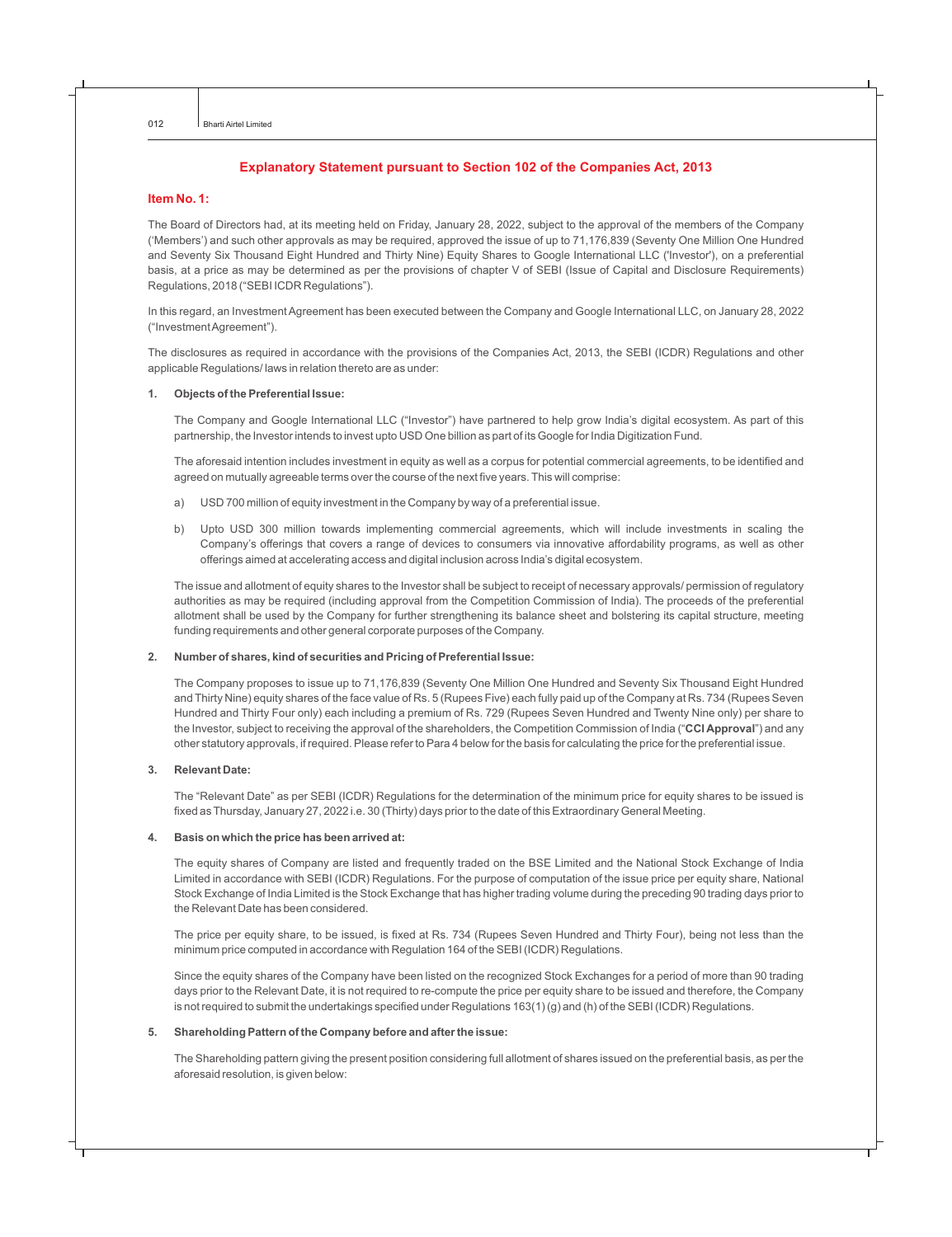#### **Explanatory Statement pursuant to Section 102 of the Companies Act, 2013**

#### **Item No. 1:**

The Board of Directors had, at its meeting held on Friday, January 28, 2022, subject to the approval of the members of the Company ('Members') and such other approvals as may be required, approved the issue of up to 71,176,839 (Seventy One Million One Hundred and Seventy Six Thousand Eight Hundred and Thirty Nine) Equity Shares to Google International LLC ('Investor'), on a preferential basis, at a price as may be determined as per the provisions of chapter V of SEBI (Issue of Capital and Disclosure Requirements) Regulations, 2018 ("SEBI ICDR Regulations").

In this regard, an Investment Agreement has been executed between the Company and Google International LLC, on January 28, 2022 ("Investment Agreement").

The disclosures as required in accordance with the provisions of the Companies Act, 2013, the SEBI (ICDR) Regulations and other applicable Regulations/ laws in relation thereto are as under:

#### **1. Objects of the Preferential Issue:**

The Company and Google International LLC ("Investor") have partnered to help grow India's digital ecosystem. As part of this partnership, the Investor intends to invest upto USD One billion as part of its Google for India Digitization Fund.

The aforesaid intention includes investment in equity as well as a corpus for potential commercial agreements, to be identified and agreed on mutually agreeable terms over the course of the next five years. This will comprise:

- a) USD 700 million of equity investment in the Company by way of a preferential issue.
- b) Upto USD 300 million towards implementing commercial agreements, which will include investments in scaling the Company's offerings that covers a range of devices to consumers via innovative affordability programs, as well as other offerings aimed at accelerating access and digital inclusion across India's digital ecosystem.

The issue and allotment of equity shares to the Investor shall be subject to receipt of necessary approvals/ permission of regulatory authorities as may be required (including approval from the Competition Commission of India). The proceeds of the preferential allotment shall be used by the Company for further strengthening its balance sheet and bolstering its capital structure, meeting funding requirements and other general corporate purposes of the Company.

#### **2. Number of shares, kind of securities and Pricing of Preferential Issue:**

The Company proposes to issue up to 71,176,839 (Seventy One Million One Hundred and Seventy Six Thousand Eight Hundred and Thirty Nine) equity shares of the face value of Rs. 5 (Rupees Five) each fully paid up of the Company at Rs. 734 (Rupees Seven Hundred and Thirty Four only) each including a premium of Rs. 729 (Rupees Seven Hundred and Twenty Nine only) per share to the Investor, subject to receiving the approval of the shareholders, the Competition Commission of India ("**CCI Approval**") and any other statutory approvals, if required. Please refer to Para 4 below for the basis for calculating the price for the preferential issue.

#### **3. Relevant Date:**

The "Relevant Date" as per SEBI (ICDR) Regulations for the determination of the minimum price for equity shares to be issued is fixed as Thursday, January 27, 2022 i.e. 30 (Thirty) days prior to the date of this Extraordinary General Meeting.

#### **4. Basis on which the price has been arrived at:**

The equity shares of Company are listed and frequently traded on the BSE Limited and the National Stock Exchange of India Limited in accordance with SEBI (ICDR) Regulations. For the purpose of computation of the issue price per equity share, National Stock Exchange of India Limited is the Stock Exchange that has higher trading volume during the preceding 90 trading days prior to the Relevant Date has been considered.

The price per equity share, to be issued, is fixed at Rs. 734 (Rupees Seven Hundred and Thirty Four), being not less than the minimum price computed in accordance with Regulation 164 of the SEBI (ICDR) Regulations.

Since the equity shares of the Company have been listed on the recognized Stock Exchanges for a period of more than 90 trading days prior to the Relevant Date, it is not required to re-compute the price per equity share to be issued and therefore, the Company is not required to submit the undertakings specified under Regulations 163(1) (g) and (h) of the SEBI (ICDR) Regulations.

#### **5. Shareholding Pattern of the Company before and after the issue:**

The Shareholding pattern giving the present position considering full allotment of shares issued on the preferential basis, as per the aforesaid resolution, is given below: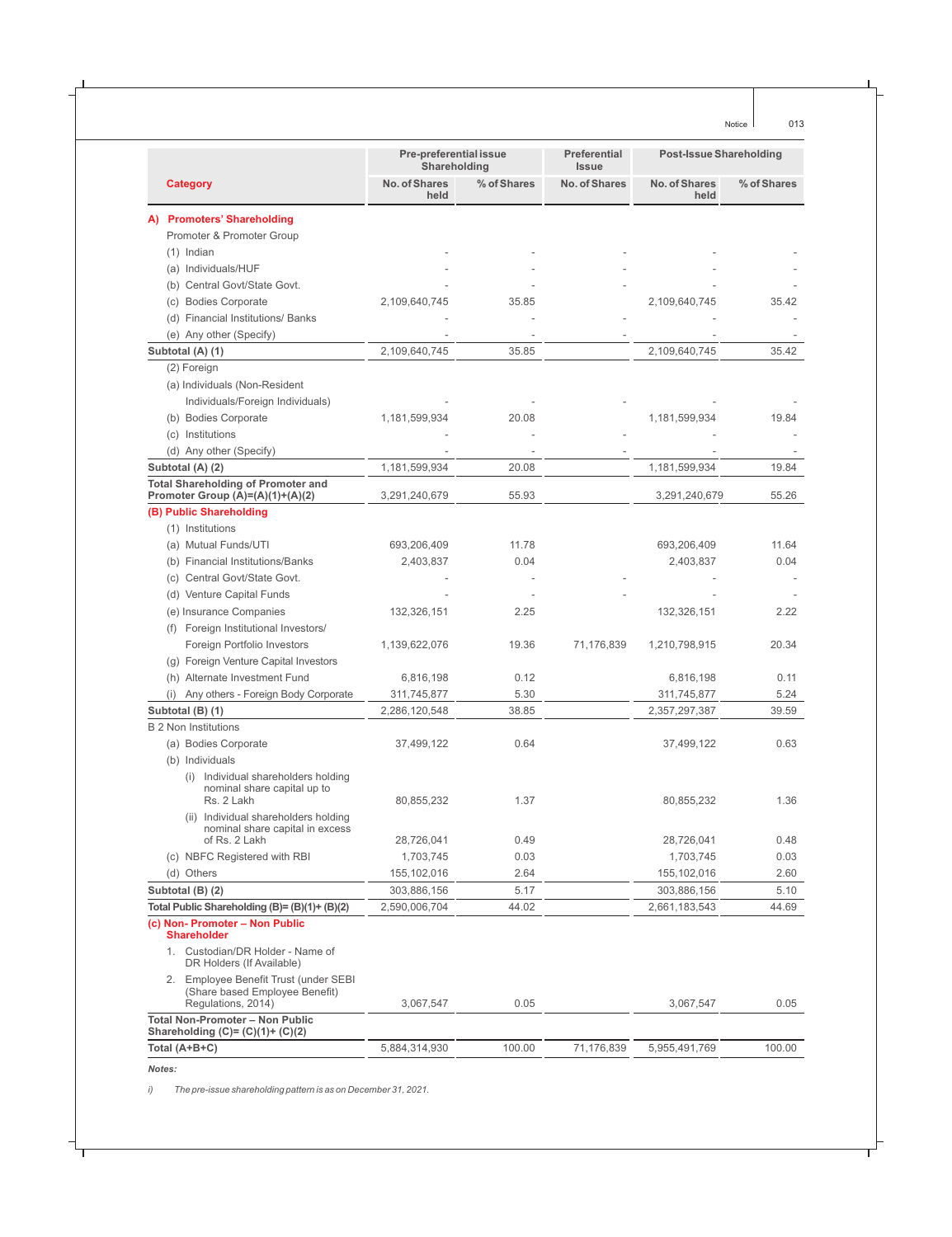|                                                                                                   | <b>Pre-preferential issue</b><br>Shareholding |             | <b>Preferential</b><br><b>Post-Issue Shareholding</b><br><b>Issue</b> |                       |             |
|---------------------------------------------------------------------------------------------------|-----------------------------------------------|-------------|-----------------------------------------------------------------------|-----------------------|-------------|
| <b>Category</b>                                                                                   | No. of Shares<br>held                         | % of Shares | <b>No. of Shares</b>                                                  | No. of Shares<br>held | % of Shares |
| <b>Promoters' Shareholding</b>                                                                    |                                               |             |                                                                       |                       |             |
| Promoter & Promoter Group                                                                         |                                               |             |                                                                       |                       |             |
| $(1)$ Indian                                                                                      |                                               |             |                                                                       |                       |             |
| (a) Individuals/HUF                                                                               |                                               |             |                                                                       |                       |             |
| (b) Central Govt/State Govt.                                                                      |                                               |             |                                                                       |                       |             |
| (c) Bodies Corporate                                                                              | 2,109,640,745                                 | 35.85       |                                                                       | 2,109,640,745         | 35.42       |
| (d) Financial Institutions/ Banks                                                                 |                                               |             |                                                                       |                       |             |
| (e) Any other (Specify)                                                                           |                                               |             |                                                                       |                       |             |
| Subtotal (A) (1)                                                                                  | 2,109,640,745                                 | 35.85       |                                                                       | 2,109,640,745         | 35.42       |
| (2) Foreign                                                                                       |                                               |             |                                                                       |                       |             |
| (a) Individuals (Non-Resident                                                                     |                                               |             |                                                                       |                       |             |
| Individuals/Foreign Individuals)                                                                  |                                               |             |                                                                       |                       |             |
| (b) Bodies Corporate                                                                              | 1,181,599,934                                 | 20.08       |                                                                       | 1,181,599,934         | 19.84       |
| (c) Institutions                                                                                  |                                               |             |                                                                       |                       |             |
| (d) Any other (Specify)                                                                           |                                               |             |                                                                       |                       |             |
| Subtotal (A) (2)                                                                                  | 1,181,599,934                                 | 20.08       |                                                                       | 1,181,599,934         | 19.84       |
| <b>Total Shareholding of Promoter and</b>                                                         |                                               |             |                                                                       |                       |             |
| Promoter Group (A)=(A)(1)+(A)(2)                                                                  | 3,291,240,679                                 | 55.93       |                                                                       | 3,291,240,679         | 55.26       |
| (B) Public Shareholding                                                                           |                                               |             |                                                                       |                       |             |
| (1) Institutions                                                                                  |                                               |             |                                                                       |                       |             |
| (a) Mutual Funds/UTI                                                                              | 693,206,409                                   | 11.78       |                                                                       | 693,206,409           | 11.64       |
| (b) Financial Institutions/Banks                                                                  | 2,403,837                                     | 0.04        |                                                                       | 2,403,837             | 0.04        |
| (c) Central Govt/State Govt.                                                                      |                                               |             |                                                                       |                       |             |
| (d) Venture Capital Funds                                                                         |                                               |             |                                                                       |                       |             |
| (e) Insurance Companies                                                                           | 132,326,151                                   | 2.25        |                                                                       | 132,326,151           | 2.22        |
| Foreign Institutional Investors/<br>(f)                                                           |                                               |             |                                                                       |                       |             |
| Foreign Portfolio Investors                                                                       | 1,139,622,076                                 | 19.36       | 71,176,839                                                            | 1,210,798,915         | 20.34       |
| (g) Foreign Venture Capital Investors                                                             |                                               |             |                                                                       |                       |             |
| (h) Alternate Investment Fund                                                                     | 6,816,198                                     | 0.12        |                                                                       | 6,816,198             | 0.11        |
| (i) Any others - Foreign Body Corporate                                                           | 311,745,877                                   | 5.30        |                                                                       | 311,745,877           | 5.24        |
| Subtotal (B) (1)                                                                                  | 2,286,120,548                                 | 38.85       |                                                                       | 2,357,297,387         | 39.59       |
| <b>B 2 Non Institutions</b>                                                                       |                                               |             |                                                                       |                       |             |
| (a) Bodies Corporate                                                                              | 37,499,122                                    | 0.64        |                                                                       | 37,499,122            | 0.63        |
| (b) Individuals                                                                                   |                                               |             |                                                                       |                       |             |
| (i) Individual shareholders holding                                                               |                                               |             |                                                                       |                       |             |
| nominal share capital up to                                                                       |                                               |             |                                                                       |                       |             |
| Rs. 2 Lakh                                                                                        | 80,855,232                                    | 1.37        |                                                                       | 80,855,232            | 1.36        |
| (ii) Individual shareholders holding<br>nominal share capital in excess                           |                                               |             |                                                                       |                       |             |
| of Rs. 2 Lakh                                                                                     | 28,726,041                                    | 0.49        |                                                                       | 28,726,041            | 0.48        |
| (c) NBFC Registered with RBI                                                                      | 1,703,745                                     | 0.03        |                                                                       | 1,703,745             | 0.03        |
| (d) Others                                                                                        | 155,102,016                                   | 2.64        |                                                                       | 155, 102, 016         | 2.60        |
| Subtotal (B) (2)                                                                                  | 303,886,156                                   | 5.17        |                                                                       | 303,886,156           | 5.10        |
| Total Public Shareholding (B)= (B)(1)+ (B)(2)                                                     | 2,590,006,704                                 | 44.02       |                                                                       | 2,661,183,543         | 44.69       |
| (c) Non-Promoter - Non Public<br><b>Shareholder</b>                                               |                                               |             |                                                                       |                       |             |
| 1. Custodian/DR Holder - Name of<br>DR Holders (If Available)                                     |                                               |             |                                                                       |                       |             |
| Employee Benefit Trust (under SEBI<br>2.<br>(Share based Employee Benefit)                        |                                               | 0.05        |                                                                       |                       | 0.05        |
| Regulations, 2014)<br><b>Total Non-Promoter - Non Public</b><br>Shareholding (C)= $(C)(1)+(C)(2)$ | 3,067,547                                     |             |                                                                       | 3,067,547             |             |
| Total (A+B+C)                                                                                     | 5,884,314,930                                 | 100.00      | 71,176,839                                                            | 5,955,491,769         | 100.00      |
| Notes:                                                                                            |                                               |             |                                                                       |                       |             |

*i) The pre-issue shareholding pattern is as on December 31, 2021.*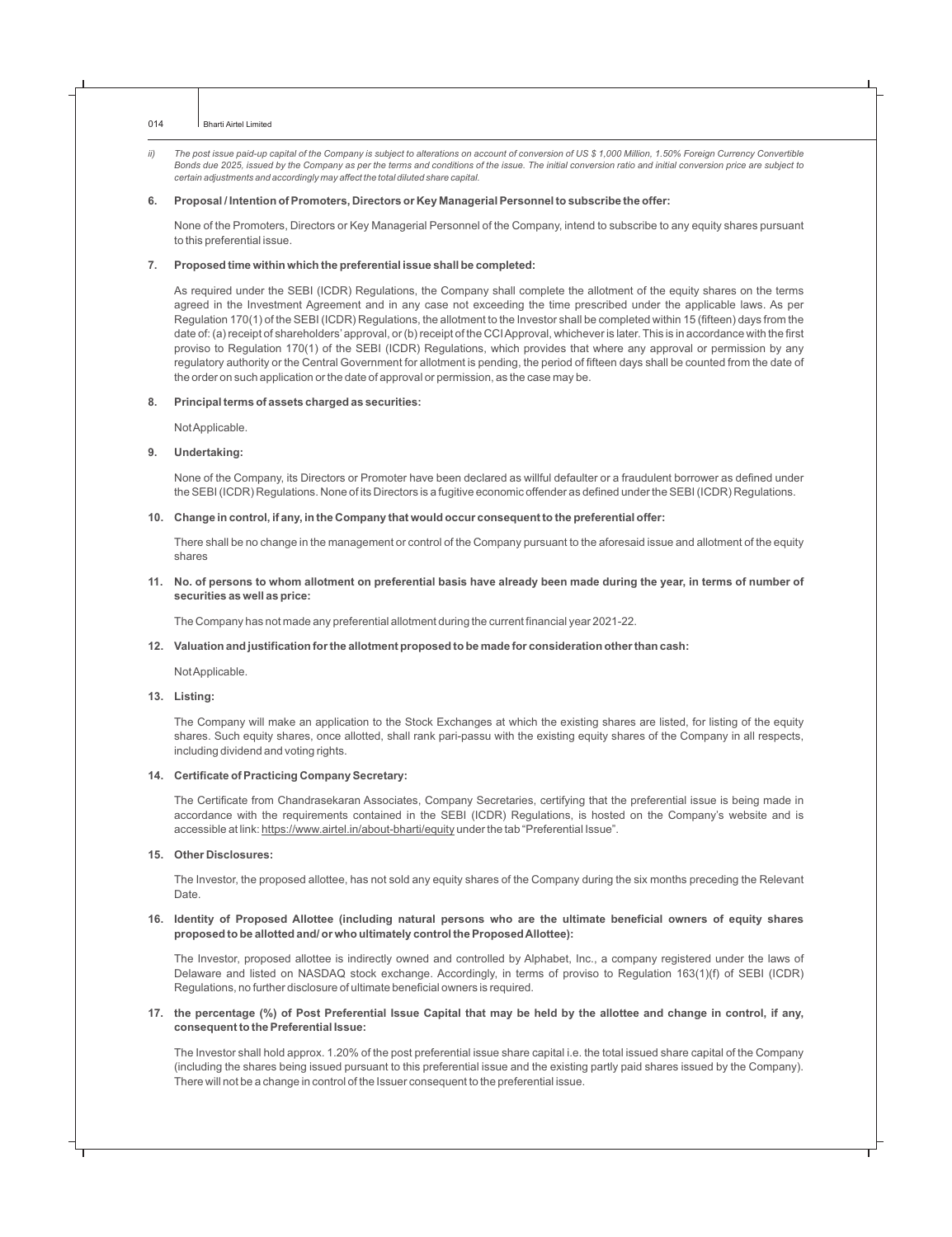ii) The post issue paid-up capital of the Company is subject to alterations on account of conversion of US \$ 1,000 Million, 1.50% Foreign Currency Convertible *Bonds due 2025, issued by the Company as per the terms and conditions of the issue. The initial conversion ratio and initial conversion price are subject to certain adjustments and accordingly may affect the total diluted share capital.*

#### **6. Proposal / Intention of Promoters, Directors or Key Managerial Personnel to subscribe the offer:**

None of the Promoters, Directors or Key Managerial Personnel of the Company, intend to subscribe to any equity shares pursuant to this preferential issue.

#### **7. Proposed time within which the preferential issue shall be completed:**

As required under the SEBI (ICDR) Regulations, the Company shall complete the allotment of the equity shares on the terms agreed in the Investment Agreement and in any case not exceeding the time prescribed under the applicable laws. As per Regulation 170(1) of the SEBI (ICDR) Regulations, the allotment to the Investor shall be completed within 15 (fifteen) days from the date of: (a) receipt of shareholders'approval, or (b) receipt of the CCI Approval, whichever is later. This is in accordance with the first proviso to Regulation 170(1) of the SEBI (ICDR) Regulations, which provides that where any approval or permission by any regulatory authority or the Central Government for allotment is pending, the period of fifteen days shall be counted from the date of the order on such application or the date of approval or permission, as the case may be.

#### **8. Principal terms of assets charged as securities:**

Not Applicable.

#### **9. Undertaking:**

None of the Company, its Directors or Promoter have been declared as willful defaulter or a fraudulent borrower as defined under the SEBI (ICDR) Regulations. None of its Directors is a fugitive economic offender as defined under the SEBI (ICDR) Regulations.

#### **10. Change in control, if any, in the Company that would occur consequent to the preferential offer:**

There shall be no change in the management or control of the Company pursuant to the aforesaid issue and allotment of the equity shares

**11. No. of persons to whom allotment on preferential basis have already been made during the year, in terms of number of securities as well as price:**

The Company has not made any preferential allotment during the current financial year 2021-22.

#### **12. Valuation and justification for the allotment proposed to be made for consideration other than cash:**

Not Applicable.

#### **13. Listing:**

The Company will make an application to the Stock Exchanges at which the existing shares are listed, for listing of the equity shares. Such equity shares, once allotted, shall rank pari-passu with the existing equity shares of the Company in all respects, including dividend and voting rights.

#### **14. Certificate of Practicing Company Secretary:**

The Certificate from Chandrasekaran Associates, Company Secretaries, certifying that the preferential issue is being made in accordance with the requirements contained in the SEBI (ICDR) Regulations, is hosted on the Company's website and is accessible at link: https://www.airtel.in/about-bharti/equity under the tab "Preferential Issue".

#### **15. Other Disclosures:**

The Investor, the proposed allottee, has not sold any equity shares of the Company during the six months preceding the Relevant Date.

#### **16. Identity of Proposed Allottee (including natural persons who are the ultimate beneficial owners of equity shares proposed to be allotted and/ or who ultimately control the Proposed Allottee):**

The Investor, proposed allottee is indirectly owned and controlled by Alphabet, Inc., a company registered under the laws of Delaware and listed on NASDAQ stock exchange. Accordingly, in terms of proviso to Regulation 163(1)(f) of SEBI (ICDR) Regulations, no further disclosure of ultimate beneficial owners is required.

#### **17. the percentage (%) of Post Preferential Issue Capital that may be held by the allottee and change in control, if any, consequent to the Preferential Issue:**

The Investor shall hold approx. 1.20% of the post preferential issue share capital i.e. the total issued share capital of the Company (including the shares being issued pursuant to this preferential issue and the existing partly paid shares issued by the Company). There will not be a change in control of the Issuer consequent to the preferential issue.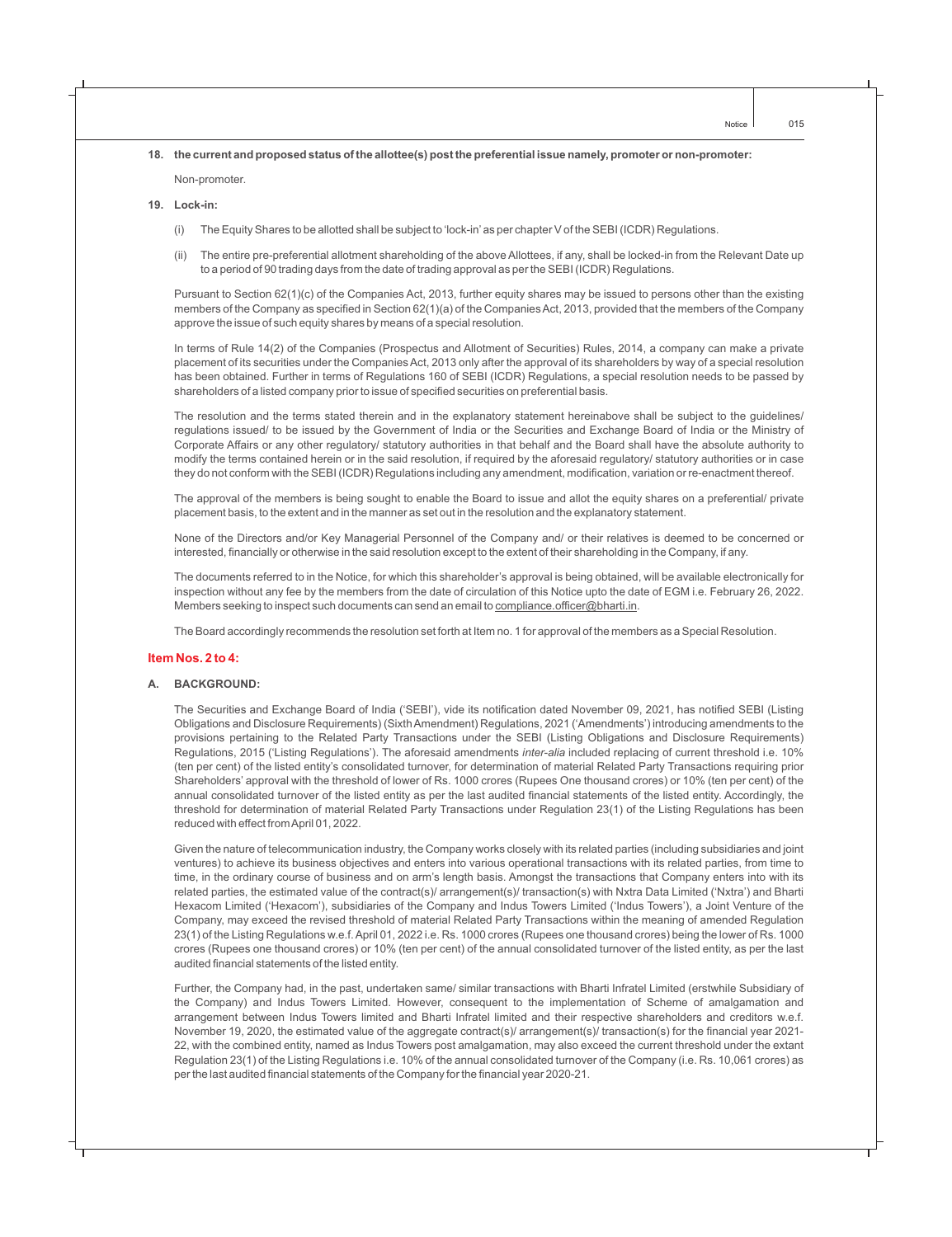#### **18. the current and proposed status of the allottee(s) post the preferential issue namely, promoter or non-promoter:**

Non-promoter.

#### **19. Lock-in:**

- (i) The Equity Shares to be allotted shall be subject to 'lock-in'as per chapter V of the SEBI (ICDR) Regulations.
- (ii) The entire pre-preferential allotment shareholding of the above Allottees, if any, shall be locked-in from the Relevant Date up to a period of 90 trading days from the date of trading approval as per the SEBI (ICDR) Regulations.

Pursuant to Section 62(1)(c) of the Companies Act, 2013, further equity shares may be issued to persons other than the existing members of the Company as specified in Section 62(1)(a) of the Companies Act, 2013, provided that the members of the Company approve the issue of such equity shares by means of a special resolution.

In terms of Rule 14(2) of the Companies (Prospectus and Allotment of Securities) Rules, 2014, a company can make a private placement of its securities under the Companies Act, 2013 only after the approval of its shareholders by way of a special resolution has been obtained. Further in terms of Regulations 160 of SEBI (ICDR) Regulations, a special resolution needs to be passed by shareholders of a listed company prior to issue of specified securities on preferential basis.

The resolution and the terms stated therein and in the explanatory statement hereinabove shall be subject to the guidelines/ regulations issued/ to be issued by the Government of India or the Securities and Exchange Board of India or the Ministry of Corporate Affairs or any other regulatory/ statutory authorities in that behalf and the Board shall have the absolute authority to modify the terms contained herein or in the said resolution, if required by the aforesaid regulatory/ statutory authorities or in case they do not conform with the SEBI (ICDR) Regulations including any amendment, modification, variation or re-enactment thereof.

The approval of the members is being sought to enable the Board to issue and allot the equity shares on a preferential/ private placement basis, to the extent and in the manner as set out in the resolution and the explanatory statement.

None of the Directors and/or Key Managerial Personnel of the Company and/ or their relatives is deemed to be concerned or interested, financially or otherwise in the said resolution except to the extent of their shareholding in the Company, if any.

The documents referred to in the Notice, for which this shareholder's approval is being obtained, will be available electronically for inspection without any fee by the members from the date of circulation of this Notice upto the date of EGM i.e. February 26, 2022. Members seeking to inspect such documents can send an email to compliance.officer@bharti.in.

The Board accordingly recommends the resolution set forth at Item no. 1 for approval of the members as a Special Resolution.

#### **Item Nos. 2 to 4:**

#### **A. BACKGROUND:**

The Securities and Exchange Board of India ('SEBI'), vide its notification dated November 09, 2021, has notified SEBI (Listing Obligations and Disclosure Requirements) (Sixth Amendment) Regulations, 2021 ('Amendments') introducing amendments to the provisions pertaining to the Related Party Transactions under the SEBI (Listing Obligations and Disclosure Requirements) Regulations, 2015 ('Listing Regulations'). The aforesaid amendments *inter-alia* included replacing of current threshold i.e. 10% (ten per cent) of the listed entity's consolidated turnover, for determination of material Related Party Transactions requiring prior Shareholders' approval with the threshold of lower of Rs. 1000 crores (Rupees One thousand crores) or 10% (ten per cent) of the annual consolidated turnover of the listed entity as per the last audited financial statements of the listed entity. Accordingly, the threshold for determination of material Related Party Transactions under Regulation 23(1) of the Listing Regulations has been reduced with effect from April 01, 2022.

Given the nature of telecommunication industry, the Company works closely with its related parties (including subsidiaries and joint ventures) to achieve its business objectives and enters into various operational transactions with its related parties, from time to time, in the ordinary course of business and on arm's length basis. Amongst the transactions that Company enters into with its related parties, the estimated value of the contract(s)/ arrangement(s)/ transaction(s) with Nxtra Data Limited ('Nxtra') and Bharti Hexacom Limited ('Hexacom'), subsidiaries of the Company and Indus Towers Limited ('Indus Towers'), a Joint Venture of the Company, may exceed the revised threshold of material Related Party Transactions within the meaning of amended Regulation 23(1) of the Listing Regulations w.e.f. April 01, 2022 i.e. Rs. 1000 crores (Rupees one thousand crores) being the lower of Rs. 1000 crores (Rupees one thousand crores) or 10% (ten per cent) of the annual consolidated turnover of the listed entity, as per the last audited financial statements of the listed entity.

Further, the Company had, in the past, undertaken same/ similar transactions with Bharti Infratel Limited (erstwhile Subsidiary of the Company) and Indus Towers Limited. However, consequent to the implementation of Scheme of amalgamation and arrangement between Indus Towers limited and Bharti Infratel limited and their respective shareholders and creditors w.e.f. November 19, 2020, the estimated value of the aggregate contract(s)/ arrangement(s)/ transaction(s) for the financial year 2021- 22, with the combined entity, named as Indus Towers post amalgamation, may also exceed the current threshold under the extant Regulation 23(1) of the Listing Regulations i.e. 10% of the annual consolidated turnover of the Company (i.e. Rs. 10,061 crores) as per the last audited financial statements of the Company for the financial year 2020-21.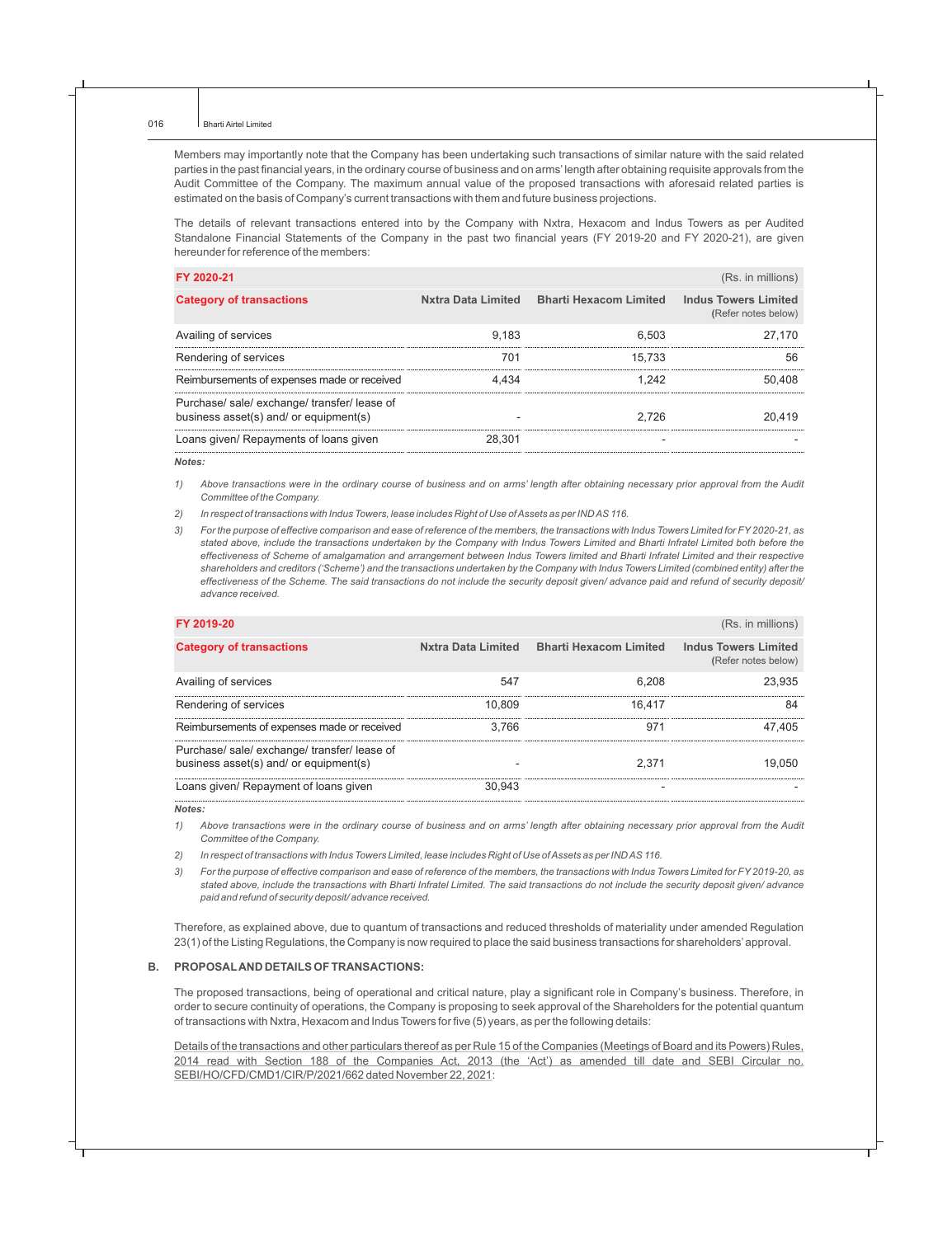Members may importantly note that the Company has been undertaking such transactions of similar nature with the said related parties in the past financial years, in the ordinary course of business and on arms' length after obtaining requisite approvals from the Audit Committee of the Company. The maximum annual value of the proposed transactions with aforesaid related parties is estimated on the basis of Company's current transactions with them and future business projections.

The details of relevant transactions entered into by the Company with Nxtra, Hexacom and Indus Towers as per Audited Standalone Financial Statements of the Company in the past two financial years (FY 2019-20 and FY 2020-21), are given hereunder for reference of the members: 

| FY 2020-21                                                                             |        |                                           | (Rs. in millions)                                  |
|----------------------------------------------------------------------------------------|--------|-------------------------------------------|----------------------------------------------------|
| <b>Category of transactions</b>                                                        |        | Nxtra Data Limited Bharti Hexacom Limited | <b>Indus Towers Limited</b><br>(Refer notes below) |
| Availing of services                                                                   | 9.183  | 6.503                                     | 27.170                                             |
| Rendering of services                                                                  | 701    | 15.733                                    | 56                                                 |
| Reimbursements of expenses made or received                                            | 4.434  | 1.242                                     | 50.408                                             |
| Purchase/ sale/ exchange/ transfer/ lease of<br>business asset(s) and/ or equipment(s) |        | 2.726                                     | 20.419                                             |
| Loans given/ Repayments of loans given                                                 | 28.301 |                                           |                                                    |

*Notes:*

*1) Above transactions were in the ordinary course of business and on arms' length after obtaining necessary prior approval from the Audit Committee of the Company.*

*2) In respect of transactions with Indus Towers, lease includes Right of Use of Assets as per IND AS 116.*

*3) For the purpose of effective comparison and ease of reference of the members, the transactions with Indus Towers Limited for FY 2020-21, as stated above, include the transactions undertaken by the Company with Indus Towers Limited and Bharti Infratel Limited both before the effectiveness of Scheme of amalgamation and arrangement between Indus Towers limited and Bharti Infratel Limited and their respective shareholders and creditors ('Scheme') and the transactions undertaken by the Company with Indus Towers Limited (combined entity) after the effectiveness of the Scheme. The said transactions do not include the security deposit given/ advance paid and refund of security deposit/ advance received.* 

| FY 2019-20                                                                             |        |                                           | (Rs. in millions)                                  |
|----------------------------------------------------------------------------------------|--------|-------------------------------------------|----------------------------------------------------|
| <b>Category of transactions</b>                                                        |        | Nxtra Data Limited Bharti Hexacom Limited | <b>Indus Towers Limited</b><br>(Refer notes below) |
| Availing of services                                                                   | 547    | 6.208                                     | 23.935                                             |
| Rendering of services                                                                  | 10.809 | 16.417                                    | 84                                                 |
| Reimbursements of expenses made or received                                            | 3.766  | 971                                       | 47.405                                             |
| Purchase/ sale/ exchange/ transfer/ lease of<br>business asset(s) and/ or equipment(s) |        | 2.371                                     | 19.050                                             |
| Loans given/ Repayment of loans given                                                  | 30.943 |                                           |                                                    |

*Notes:* 

*1) Above transactions were in the ordinary course of business and on arms' length after obtaining necessary prior approval from the Audit Committee of the Company.*

*2) In respect of transactions with Indus Towers Limited, lease includes Right of Use of Assets as per IND AS 116.*

*3) For the purpose of effective comparison and ease of reference of the members, the transactions with Indus Towers Limited for FY 2019-20, as stated above, include the transactions with Bharti Infratel Limited. The said transactions do not include the security deposit given/ advance paid and refund of security deposit/ advance received.*

Therefore, as explained above, due to quantum of transactions and reduced thresholds of materiality under amended Regulation 23(1) of the Listing Regulations, the Company is now required to place the said business transactions for shareholders'approval.

#### **B. PROPOSALAND DETAILS OF TRANSACTIONS:**

The proposed transactions, being of operational and critical nature, play a significant role in Company's business. Therefore, in order to secure continuity of operations, the Company is proposing to seek approval of the Shareholders for the potential quantum of transactions with Nxtra, Hexacom and Indus Towers for five (5) years, as per the following details:

Details of the transactions and other particulars thereof as per Rule 15 of the Companies (Meetings of Board and its Powers) Rules, 2014 read with Section 188 of the Companies Act, 2013 (the 'Act') as amended till date and SEBI Circular no. SEBI/HO/CFD/CMD1/CIR/P/2021/662 dated November 22, 2021: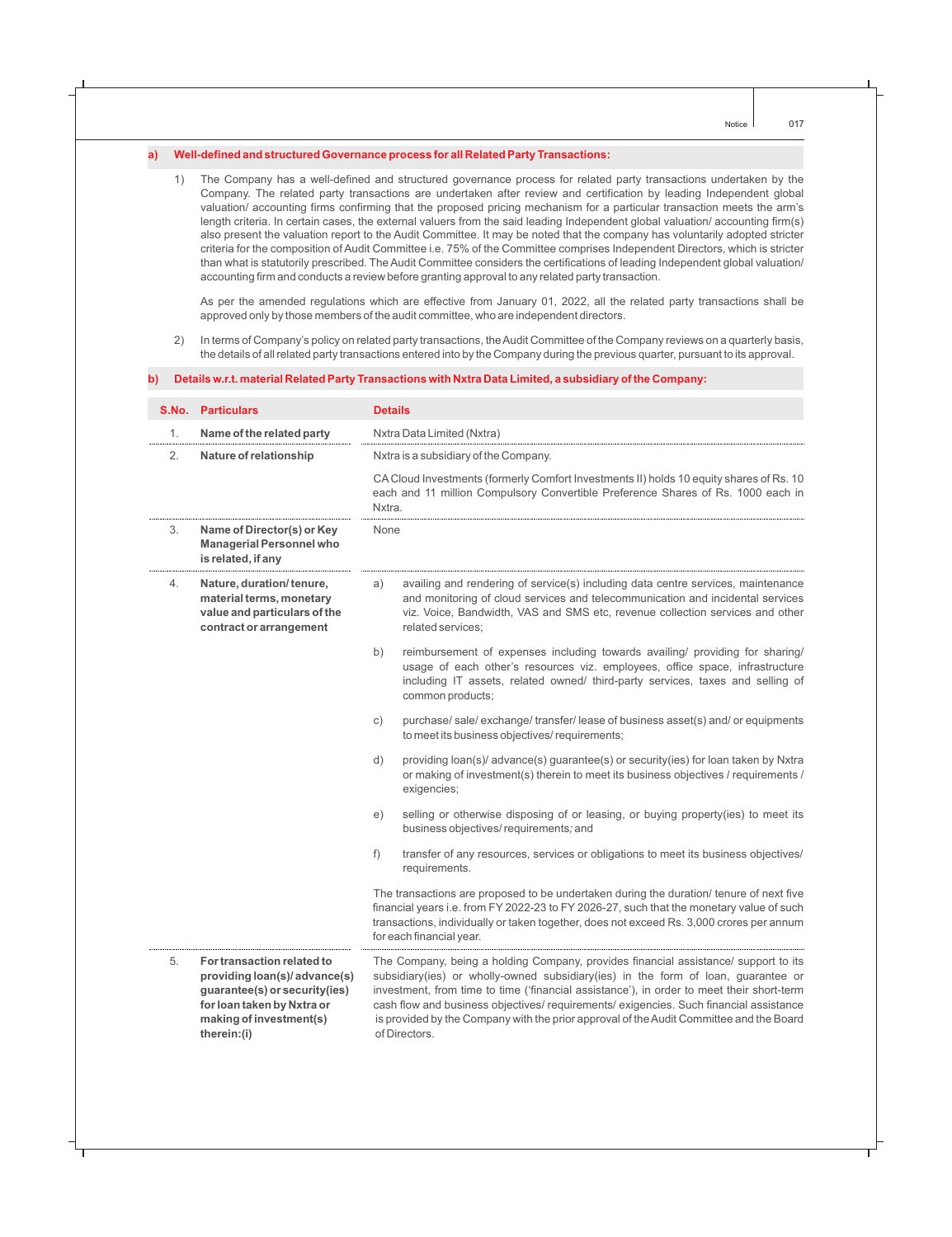#### **a) Well-defined and structured Governance process for all Related Party Transactions:**

1) The Company has a well-defined and structured governance process for related party transactions undertaken by the Company. The related party transactions are undertaken after review and certification by leading Independent global valuation/ accounting firms confirming that the proposed pricing mechanism for a particular transaction meets the arm's length criteria. In certain cases, the external valuers from the said leading Independent global valuation/ accounting firm(s) also present the valuation report to the Audit Committee. It may be noted that the company has voluntarily adopted stricter criteria for the composition of Audit Committee i.e. 75% of the Committee comprises Independent Directors, which is stricter than what is statutorily prescribed. The Audit Committee considers the certifications of leading Independent global valuation/ accounting firm and conducts a review before granting approval to any related party transaction.

As per the amended regulations which are effective from January 01, 2022, all the related party transactions shall be approved only by those members of the audit committee, who are independent directors.

2) In terms of Company's policy on related party transactions, the Audit Committee of the Company reviews on a quarterly basis, the details of all related party transactions entered into by the Company during the previous quarter, pursuant to its approval.

#### **b) Details w.r.t. material Related Party Transactions with Nxtra Data Limited, a subsidiary of the Company:**

|    | <b>S.No. Particulars</b>                                                                                                                                             | <b>Details</b>                                                                                                                                                                                                                                                                                                                                                                                                                                                              |  |
|----|----------------------------------------------------------------------------------------------------------------------------------------------------------------------|-----------------------------------------------------------------------------------------------------------------------------------------------------------------------------------------------------------------------------------------------------------------------------------------------------------------------------------------------------------------------------------------------------------------------------------------------------------------------------|--|
| 1. | Name of the related party                                                                                                                                            | Nxtra Data Limited (Nxtra)                                                                                                                                                                                                                                                                                                                                                                                                                                                  |  |
| 2. | Nature of relationship                                                                                                                                               | Nxtra is a subsidiary of the Company.                                                                                                                                                                                                                                                                                                                                                                                                                                       |  |
|    |                                                                                                                                                                      | CA Cloud Investments (formerly Comfort Investments II) holds 10 equity shares of Rs. 10<br>each and 11 million Compulsory Convertible Preference Shares of Rs. 1000 each in<br>Nxtra.                                                                                                                                                                                                                                                                                       |  |
| 3. | Name of Director(s) or Key<br><b>Managerial Personnel who</b><br>is related, if any                                                                                  | None                                                                                                                                                                                                                                                                                                                                                                                                                                                                        |  |
| 4. | Nature, duration/tenure,<br>material terms, monetary<br>value and particulars of the<br>contract or arrangement                                                      | availing and rendering of service(s) including data centre services, maintenance<br>a)<br>and monitoring of cloud services and telecommunication and incidental services<br>viz. Voice, Bandwidth, VAS and SMS etc, revenue collection services and other<br>related services:                                                                                                                                                                                              |  |
|    |                                                                                                                                                                      | b)<br>reimbursement of expenses including towards availing/ providing for sharing/<br>usage of each other's resources viz. employees, office space, infrastructure<br>including IT assets, related owned/ third-party services, taxes and selling of<br>common products;                                                                                                                                                                                                    |  |
|    |                                                                                                                                                                      | purchase/ sale/ exchange/ transfer/ lease of business asset(s) and/ or equipments<br>C)<br>to meet its business objectives/ requirements;                                                                                                                                                                                                                                                                                                                                   |  |
|    |                                                                                                                                                                      | d)<br>providing loan(s)/ advance(s) guarantee(s) or security(ies) for loan taken by Nxtra<br>or making of investment(s) therein to meet its business objectives / requirements /<br>exigencies;                                                                                                                                                                                                                                                                             |  |
|    |                                                                                                                                                                      | selling or otherwise disposing of or leasing, or buying property(ies) to meet its<br>e)<br>business objectives/requirements; and                                                                                                                                                                                                                                                                                                                                            |  |
|    |                                                                                                                                                                      | f)<br>transfer of any resources, services or obligations to meet its business objectives/<br>requirements.                                                                                                                                                                                                                                                                                                                                                                  |  |
|    |                                                                                                                                                                      | The transactions are proposed to be undertaken during the duration/ tenure of next five<br>financial years i.e. from FY 2022-23 to FY 2026-27, such that the monetary value of such<br>transactions, individually or taken together, does not exceed Rs. 3,000 crores per annum<br>for each financial year.                                                                                                                                                                 |  |
| 5. | For transaction related to<br>providing loan(s)/ advance(s)<br>guarantee(s) or security(ies)<br>for loan taken by Nxtra or<br>making of investment(s)<br>therein:(i) | The Company, being a holding Company, provides financial assistance/ support to its<br>subsidiary(ies) or wholly-owned subsidiary(ies) in the form of loan, guarantee or<br>investment, from time to time ('financial assistance'), in order to meet their short-term<br>cash flow and business objectives/ requirements/ exigencies. Such financial assistance<br>is provided by the Company with the prior approval of the Audit Committee and the Board<br>of Directors. |  |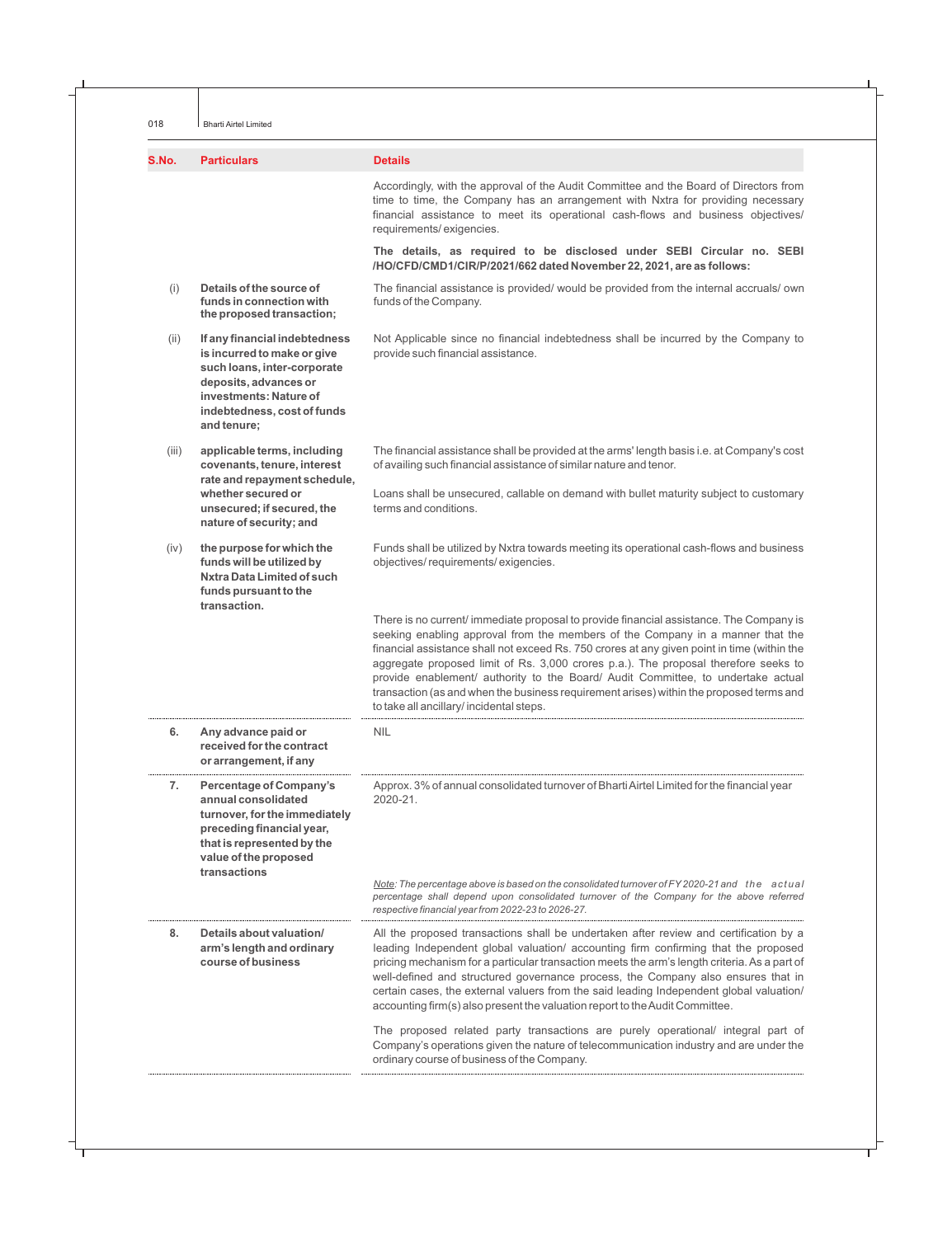018 **Bharti Airtel Limited** 

| S.No. | <b>Particulars</b>                                                                                                                                                                           | <b>Details</b>                                                                                                                                                                                                                                                                                                                                                                                                                                                                                                                                                                           |
|-------|----------------------------------------------------------------------------------------------------------------------------------------------------------------------------------------------|------------------------------------------------------------------------------------------------------------------------------------------------------------------------------------------------------------------------------------------------------------------------------------------------------------------------------------------------------------------------------------------------------------------------------------------------------------------------------------------------------------------------------------------------------------------------------------------|
|       |                                                                                                                                                                                              | Accordingly, with the approval of the Audit Committee and the Board of Directors from<br>time to time, the Company has an arrangement with Nxtra for providing necessary<br>financial assistance to meet its operational cash-flows and business objectives/<br>requirements/exigencies.                                                                                                                                                                                                                                                                                                 |
|       |                                                                                                                                                                                              | The details, as required to be disclosed under SEBI Circular no. SEBI<br>/HO/CFD/CMD1/CIR/P/2021/662 dated November 22, 2021, are as follows:                                                                                                                                                                                                                                                                                                                                                                                                                                            |
| (i)   | Details of the source of<br>funds in connection with<br>the proposed transaction;                                                                                                            | The financial assistance is provided/ would be provided from the internal accruals/ own<br>funds of the Company.                                                                                                                                                                                                                                                                                                                                                                                                                                                                         |
| (ii)  | If any financial indebtedness<br>is incurred to make or give<br>such loans, inter-corporate<br>deposits, advances or<br>investments: Nature of<br>indebtedness, cost of funds<br>and tenure; | Not Applicable since no financial indebtedness shall be incurred by the Company to<br>provide such financial assistance.                                                                                                                                                                                                                                                                                                                                                                                                                                                                 |
| (iii) | applicable terms, including<br>covenants, tenure, interest<br>rate and repayment schedule,                                                                                                   | The financial assistance shall be provided at the arms' length basis i.e. at Company's cost<br>of availing such financial assistance of similar nature and tenor.                                                                                                                                                                                                                                                                                                                                                                                                                        |
|       | whether secured or<br>unsecured; if secured, the<br>nature of security; and                                                                                                                  | Loans shall be unsecured, callable on demand with bullet maturity subject to customary<br>terms and conditions.                                                                                                                                                                                                                                                                                                                                                                                                                                                                          |
| (iv)  | the purpose for which the<br>funds will be utilized by<br><b>Nxtra Data Limited of such</b><br>funds pursuant to the<br>transaction.                                                         | Funds shall be utilized by Nxtra towards meeting its operational cash-flows and business<br>objectives/requirements/exigencies.                                                                                                                                                                                                                                                                                                                                                                                                                                                          |
|       |                                                                                                                                                                                              | There is no current/immediate proposal to provide financial assistance. The Company is<br>seeking enabling approval from the members of the Company in a manner that the<br>financial assistance shall not exceed Rs. 750 crores at any given point in time (within the<br>aggregate proposed limit of Rs. 3,000 crores p.a.). The proposal therefore seeks to<br>provide enablement/ authority to the Board/ Audit Committee, to undertake actual<br>transaction (as and when the business requirement arises) within the proposed terms and<br>to take all ancillary/incidental steps. |
| 6.    | Any advance paid or<br>received for the contract<br>or arrangement, if any                                                                                                                   | NIL                                                                                                                                                                                                                                                                                                                                                                                                                                                                                                                                                                                      |
| 7.    | <b>Percentage of Company's</b><br>annual consolidated<br>turnover, for the immediately<br>preceding financial year,<br>that is represented by the<br>value of the proposed<br>transactions   | Approx. 3% of annual consolidated turnover of Bharti Airtel Limited for the financial year<br>2020-21.                                                                                                                                                                                                                                                                                                                                                                                                                                                                                   |
|       |                                                                                                                                                                                              | Note: The percentage above is based on the consolidated turnover of FY 2020-21 and the actual<br>percentage shall depend upon consolidated turnover of the Company for the above referred<br>respective financial year from 2022-23 to 2026-27.                                                                                                                                                                                                                                                                                                                                          |
| 8.    | Details about valuation/<br>arm's length and ordinary<br>course of business                                                                                                                  | All the proposed transactions shall be undertaken after review and certification by a<br>leading Independent global valuation/ accounting firm confirming that the proposed<br>pricing mechanism for a particular transaction meets the arm's length criteria. As a part of<br>well-defined and structured governance process, the Company also ensures that in<br>certain cases, the external valuers from the said leading Independent global valuation/<br>accounting firm(s) also present the valuation report to the Audit Committee.                                               |
|       |                                                                                                                                                                                              | The proposed related party transactions are purely operational/ integral part of                                                                                                                                                                                                                                                                                                                                                                                                                                                                                                         |

ordinary course of business of the Company.

Company's operations given the nature of telecommunication industry and are under the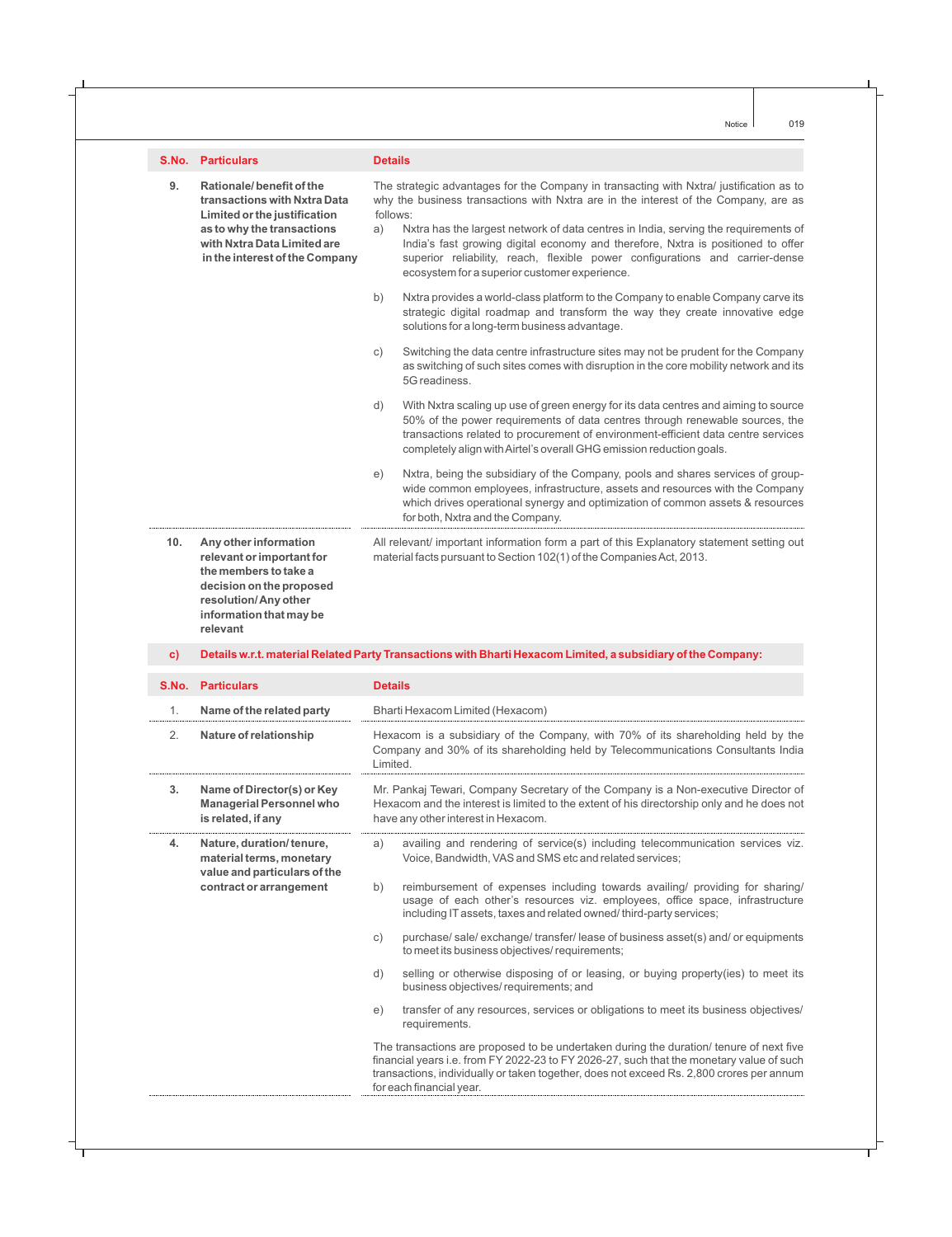|               | <b>S.No. Particulars</b>                                                                                                                                                                | <b>Details</b>                                                                                                                                                                                                                                                                                                                                                                                                                                                                                               |  |
|---------------|-----------------------------------------------------------------------------------------------------------------------------------------------------------------------------------------|--------------------------------------------------------------------------------------------------------------------------------------------------------------------------------------------------------------------------------------------------------------------------------------------------------------------------------------------------------------------------------------------------------------------------------------------------------------------------------------------------------------|--|
| 9.            | Rationale/benefit of the<br>transactions with Nxtra Data<br>Limited or the justification<br>as to why the transactions<br>with Nxtra Data Limited are<br>in the interest of the Company | The strategic advantages for the Company in transacting with Nxtra/ justification as to<br>why the business transactions with Nxtra are in the interest of the Company, are as<br>follows:<br>Nxtra has the largest network of data centres in India, serving the requirements of<br>a)<br>India's fast growing digital economy and therefore, Nxtra is positioned to offer<br>superior reliability, reach, flexible power configurations and carrier-dense<br>ecosystem for a superior customer experience. |  |
|               |                                                                                                                                                                                         | b)<br>Nxtra provides a world-class platform to the Company to enable Company carve its<br>strategic digital roadmap and transform the way they create innovative edge<br>solutions for a long-term business advantage.                                                                                                                                                                                                                                                                                       |  |
|               |                                                                                                                                                                                         | Switching the data centre infrastructure sites may not be prudent for the Company<br>C)<br>as switching of such sites comes with disruption in the core mobility network and its<br>5G readiness.                                                                                                                                                                                                                                                                                                            |  |
|               |                                                                                                                                                                                         | d)<br>With Nxtra scaling up use of green energy for its data centres and aiming to source<br>50% of the power requirements of data centres through renewable sources, the<br>transactions related to procurement of environment-efficient data centre services<br>completely align with Airtel's overall GHG emission reduction goals.                                                                                                                                                                       |  |
|               |                                                                                                                                                                                         | Nxtra, being the subsidiary of the Company, pools and shares services of group-<br>e)<br>wide common employees, infrastructure, assets and resources with the Company<br>which drives operational synergy and optimization of common assets & resources<br>for both, Nxtra and the Company.                                                                                                                                                                                                                  |  |
| 10.           | Any other information<br>relevant or important for<br>the members to take a<br>decision on the proposed<br>resolution/Any other<br>information that may be<br>relevant                  | All relevant/ important information form a part of this Explanatory statement setting out<br>material facts pursuant to Section 102(1) of the Companies Act, 2013.                                                                                                                                                                                                                                                                                                                                           |  |
| $\mathbf{c})$ |                                                                                                                                                                                         | Details w.r.t. material Related Party Transactions with Bharti Hexacom Limited, a subsidiary of the Company:                                                                                                                                                                                                                                                                                                                                                                                                 |  |
| S.No.         | <b>Particulars</b>                                                                                                                                                                      | <b>Details</b>                                                                                                                                                                                                                                                                                                                                                                                                                                                                                               |  |
| 1.            | Name of the related party                                                                                                                                                               | Bharti Hexacom Limited (Hexacom)                                                                                                                                                                                                                                                                                                                                                                                                                                                                             |  |
| 2.            | Nature of relationship                                                                                                                                                                  | Hexacom is a subsidiary of the Company, with 70% of its shareholding held by the<br>Company and 30% of its shareholding held by Telecommunications Consultants India<br>Limited.                                                                                                                                                                                                                                                                                                                             |  |
| 3.            | Name of Director(s) or Key<br><b>Managerial Personnel who</b><br>is related, if any                                                                                                     | Mr. Pankaj Tewari, Company Secretary of the Company is a Non-executive Director of<br>Hexacom and the interest is limited to the extent of his directorship only and he does not<br>have any other interest in Hexacom.                                                                                                                                                                                                                                                                                      |  |

**4. Nature, duration/ tenure,** a) availing and rendering of service(s) including telecommunication services viz. **material terms, monetary** Voice, Bandwidth, VAS and SMS etc and related services; **value and particulars of the**

**contract or arrangement** b) reimbursement of expenses including towards availing/ providing for sharing/ usage of each other's resources viz. employees, office space, infrastructure including IT assets, taxes and related owned/ third-party services;

- c) purchase/ sale/ exchange/ transfer/ lease of business asset(s) and/ or equipments to meet its business objectives/ requirements;
- d) selling or otherwise disposing of or leasing, or buying property(ies) to meet its business objectives/ requirements; and
- e) transfer of any resources, services or obligations to meet its business objectives/ requirements.

The transactions are proposed to be undertaken during the duration/ tenure of next five financial years i.e. from FY 2022-23 to FY 2026-27, such that the monetary value of such transactions, individually or taken together, does not exceed Rs. 2,800 crores per annum for each financial year.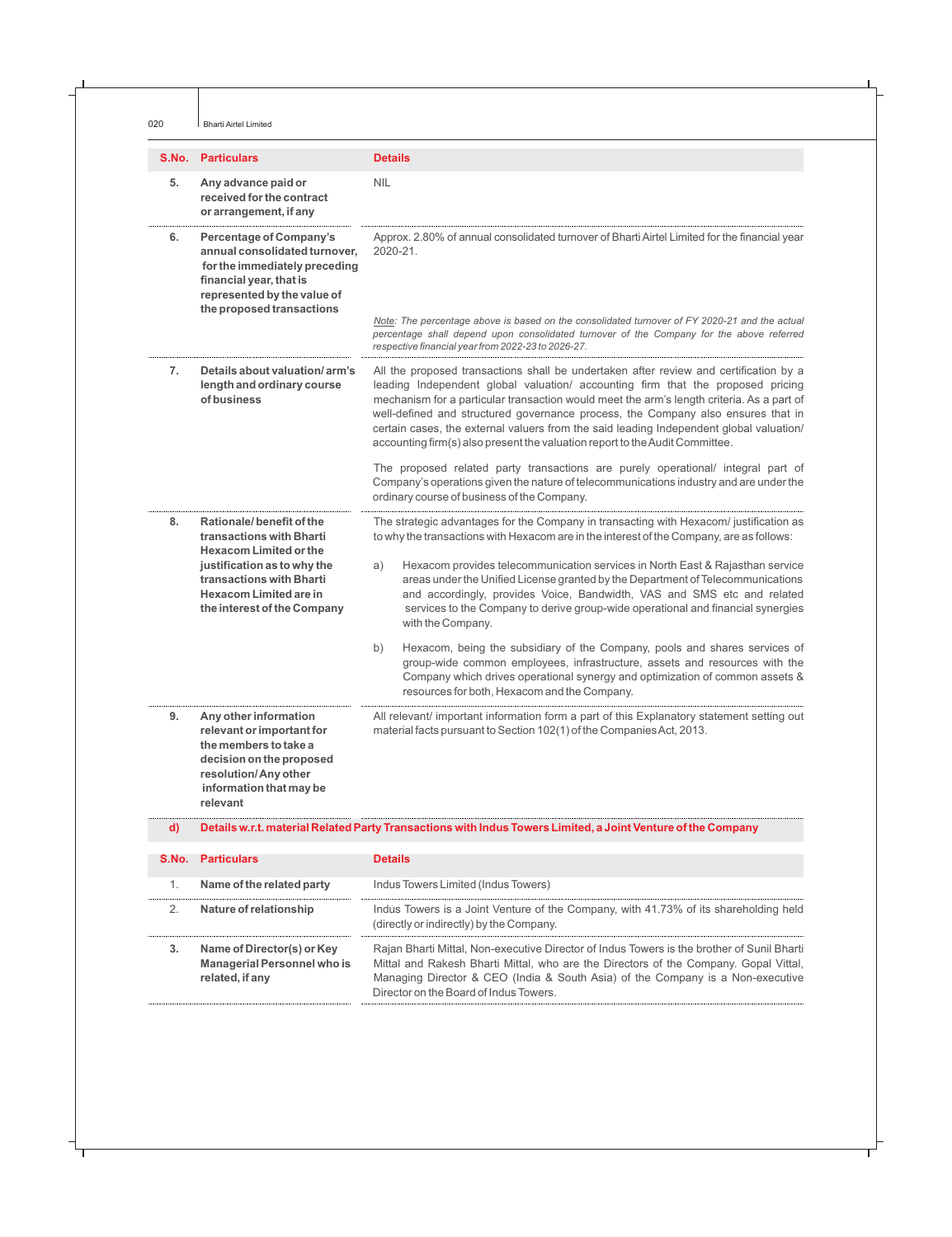|              | <b>S.No. Particulars</b>                                                                                                                                                                | <b>Details</b>                                                                                                                                                                                                                                                                                                                                                                                                                                                                                                                       |
|--------------|-----------------------------------------------------------------------------------------------------------------------------------------------------------------------------------------|--------------------------------------------------------------------------------------------------------------------------------------------------------------------------------------------------------------------------------------------------------------------------------------------------------------------------------------------------------------------------------------------------------------------------------------------------------------------------------------------------------------------------------------|
| 5.           | Any advance paid or<br>received for the contract<br>or arrangement, if any                                                                                                              | <b>NIL</b>                                                                                                                                                                                                                                                                                                                                                                                                                                                                                                                           |
| 6.           | <b>Percentage of Company's</b><br>annual consolidated turnover,<br>for the immediately preceding<br>financial year, that is<br>represented by the value of<br>the proposed transactions | Approx. 2.80% of annual consolidated turnover of Bharti Airtel Limited for the financial year<br>2020-21.<br>Note: The percentage above is based on the consolidated turnover of FY 2020-21 and the actual                                                                                                                                                                                                                                                                                                                           |
|              |                                                                                                                                                                                         | percentage shall depend upon consolidated turnover of the Company for the above referred<br>respective financial year from 2022-23 to 2026-27.                                                                                                                                                                                                                                                                                                                                                                                       |
| 7.           | Details about valuation/arm's<br>length and ordinary course<br>of business                                                                                                              | All the proposed transactions shall be undertaken after review and certification by a<br>leading Independent global valuation/ accounting firm that the proposed pricing<br>mechanism for a particular transaction would meet the arm's length criteria. As a part of<br>well-defined and structured governance process, the Company also ensures that in<br>certain cases, the external valuers from the said leading Independent global valuation/<br>accounting firm(s) also present the valuation report to the Audit Committee. |
|              |                                                                                                                                                                                         | The proposed related party transactions are purely operational/ integral part of<br>Company's operations given the nature of telecommunications industry and are under the<br>ordinary course of business of the Company.                                                                                                                                                                                                                                                                                                            |
| 8.           | Rationale/benefit of the<br>transactions with Bharti<br><b>Hexacom Limited or the</b>                                                                                                   | The strategic advantages for the Company in transacting with Hexacom/ justification as<br>to why the transactions with Hexacom are in the interest of the Company, are as follows:                                                                                                                                                                                                                                                                                                                                                   |
|              | justification as to why the<br>transactions with Bharti<br><b>Hexacom Limited are in</b><br>the interest of the Company                                                                 | Hexacom provides telecommunication services in North East & Rajasthan service<br>a)<br>areas under the Unified License granted by the Department of Telecommunications<br>and accordingly, provides Voice, Bandwidth, VAS and SMS etc and related<br>services to the Company to derive group-wide operational and financial synergies<br>with the Company.                                                                                                                                                                           |
|              |                                                                                                                                                                                         | Hexacom, being the subsidiary of the Company, pools and shares services of<br>b)<br>group-wide common employees, infrastructure, assets and resources with the<br>Company which drives operational synergy and optimization of common assets &<br>resources for both, Hexacom and the Company.                                                                                                                                                                                                                                       |
| 9.           | Any other information<br>relevant or important for<br>the members to take a<br>decision on the proposed<br>resolution/Any other<br>information that may be<br>relevant                  | All relevant/ important information form a part of this Explanatory statement setting out<br>material facts pursuant to Section 102(1) of the Companies Act, 2013.                                                                                                                                                                                                                                                                                                                                                                   |
| $\mathbf{d}$ |                                                                                                                                                                                         | Details w.r.t. material Related Party Transactions with Indus Towers Limited, a Joint Venture of the Company                                                                                                                                                                                                                                                                                                                                                                                                                         |
| S.No.        | <b>Particulars</b>                                                                                                                                                                      | <b>Details</b>                                                                                                                                                                                                                                                                                                                                                                                                                                                                                                                       |
| 1.           | Name of the related party                                                                                                                                                               | Indus Towers Limited (Indus Towers)                                                                                                                                                                                                                                                                                                                                                                                                                                                                                                  |
| 2.           | Nature of relationship                                                                                                                                                                  | Indus Towers is a Joint Venture of the Company, with 41.73% of its shareholding held<br>(directly or indirectly) by the Company.                                                                                                                                                                                                                                                                                                                                                                                                     |
| 3.           | Name of Director(s) or Key<br><b>Managerial Personnel who is</b><br>related, if any                                                                                                     | Rajan Bharti Mittal, Non-executive Director of Indus Towers is the brother of Sunil Bharti<br>Mittal and Rakesh Bharti Mittal, who are the Directors of the Company. Gopal Vittal,<br>Managing Director & CEO (India & South Asia) of the Company is a Non-executive<br>Director on the Board of Indus Towers.                                                                                                                                                                                                                       |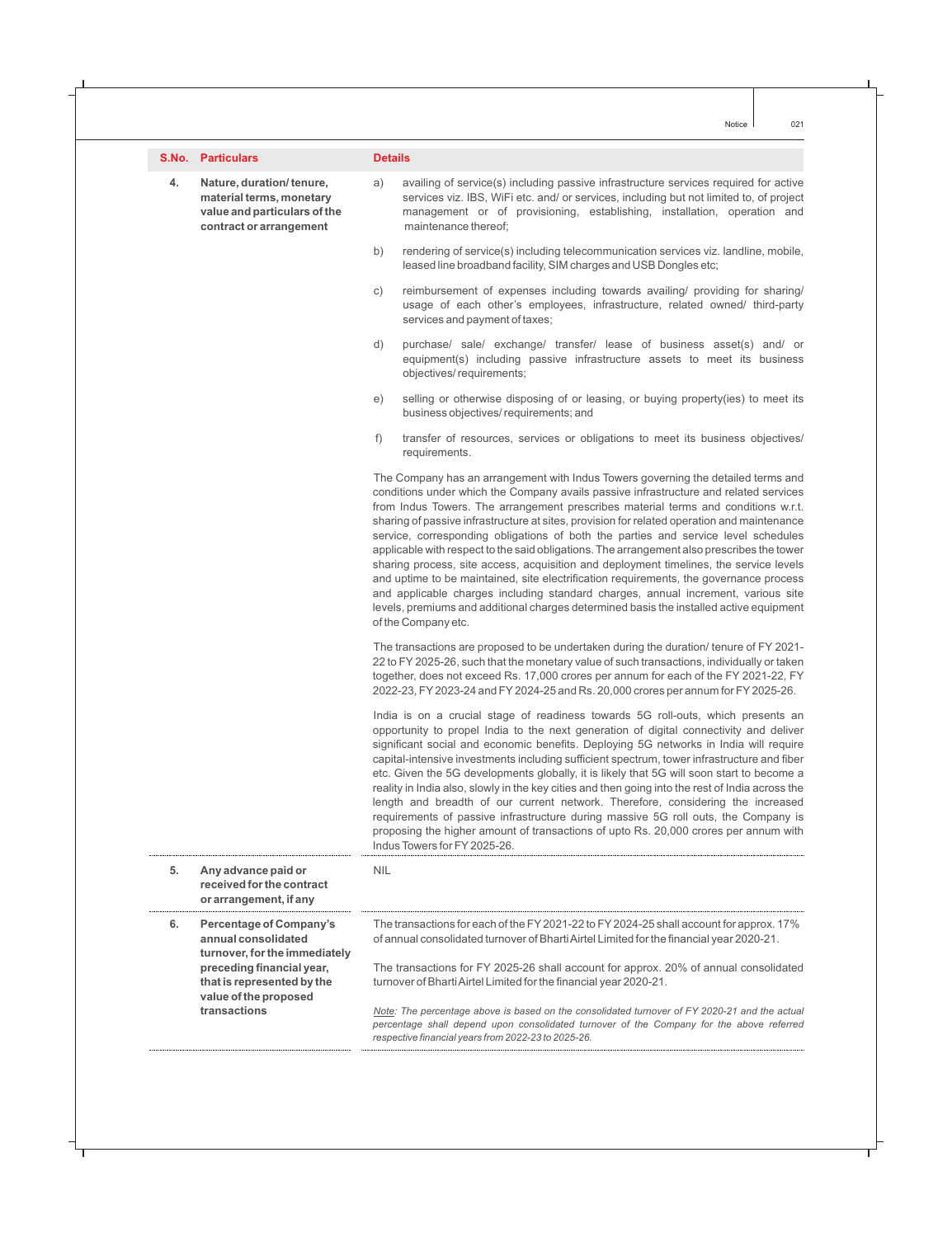| S.No. | <b>Particulars</b> |  |
|-------|--------------------|--|
|       |                    |  |

**contract or arrangement** maintenance thereof;

#### **Details**

- **4. Nature, duration/ tenure,** a) availing of service(s) including passive infrastructure services required for active **material terms, monetary** services viz. IBS, WiFi etc. and/ or services, including but not limited to, of project **value and particulars of the** management or of provisioning, establishing, installation, operation and
	- b) rendering of service(s) including telecommunication services viz. landline, mobile, leased line broadband facility, SIM charges and USB Dongles etc;
	- c) reimbursement of expenses including towards availing/ providing for sharing/ usage of each other's employees, infrastructure, related owned/ third-party services and payment of taxes;
	- d) purchase/ sale/ exchange/ transfer/ lease of business asset(s) and/ or equipment(s) including passive infrastructure assets to meet its business objectives/ requirements;
	- e) selling or otherwise disposing of or leasing, or buying property(ies) to meet its business objectives/ requirements; and
	- f) transfer of resources, services or obligations to meet its business objectives/ requirements.

The Company has an arrangement with Indus Towers governing the detailed terms and conditions under which the Company avails passive infrastructure and related services from Indus Towers. The arrangement prescribes material terms and conditions w.r.t. sharing of passive infrastructure at sites, provision for related operation and maintenance service, corresponding obligations of both the parties and service level schedules applicable with respect to the said obligations. The arrangement also prescribes the tower sharing process, site access, acquisition and deployment timelines, the service levels and uptime to be maintained, site electrification requirements, the governance process and applicable charges including standard charges, annual increment, various site levels, premiums and additional charges determined basis the installed active equipment of the Company etc.

The transactions are proposed to be undertaken during the duration/ tenure of FY 2021- 22 to FY 2025-26, such that the monetary value of such transactions, individually or taken together, does not exceed Rs. 17,000 crores per annum for each of the FY 2021-22, FY 2022-23, FY2023-24 and FY2024-25 and Rs. 20,000 crores per annum for FY2025-26.

India is on a crucial stage of readiness towards 5G roll-outs, which presents an opportunity to propel India to the next generation of digital connectivity and deliver significant social and economic benefits. Deploying 5G networks in India will require capital-intensive investments including sufficient spectrum, tower infrastructure and fiber etc. Given the 5G developments globally, it is likely that 5G will soon start to become a reality in India also, slowly in the key cities and then going into the rest of India across the length and breadth of our current network. Therefore, considering the increased requirements of passive infrastructure during massive 5G roll outs, the Company is proposing the higher amount of transactions of upto Rs. 20,000 crores per annum with Indus Towers for FY2025-26.

| 5. | Any advance paid or<br>received for the contract<br>or arrangement, if any       | <b>NIL</b>                                                                                                                                                                                                                                       |
|----|----------------------------------------------------------------------------------|--------------------------------------------------------------------------------------------------------------------------------------------------------------------------------------------------------------------------------------------------|
| 6. | Percentage of Company's<br>annual consolidated<br>turnover, for the immediately  | The transactions for each of the FY 2021-22 to FY 2024-25 shall account for approx. 17%<br>of annual consolidated turnover of Bharti Airtel Limited for the financial year 2020-21.                                                              |
|    | preceding financial year,<br>that is represented by the<br>value of the proposed | The transactions for FY 2025-26 shall account for approx. 20% of annual consolidated<br>turnover of Bharti Airtel Limited for the financial year 2020-21.                                                                                        |
|    | transactions                                                                     | Note: The percentage above is based on the consolidated turnover of FY 2020-21 and the actual<br>percentage shall depend upon consolidated turnover of the Company for the above referred<br>respective financial years from 2022-23 to 2025-26. |

021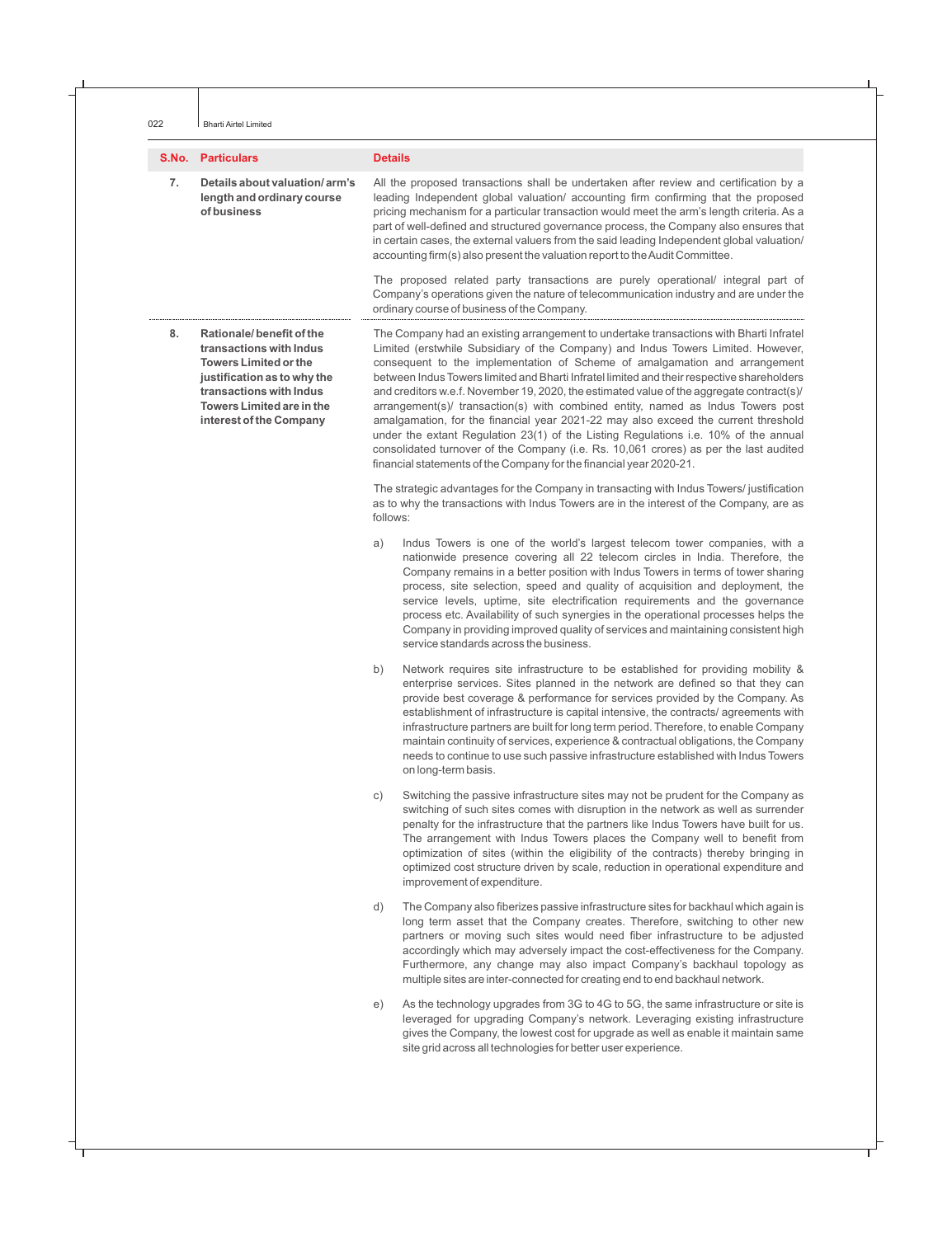| S.No. | <b>Particulars</b> |  |
|-------|--------------------|--|
|-------|--------------------|--|

#### **Details**

**7. Details about valuation/ arm's** All the proposed transactions shall be undertaken after review and certification by a length and ordinary course leading Independent global valuation/ accounting firm confirming that the proposed of business **mechanism for a particular transaction would meet the arm's length criteria. As a business of the armis length criteria. As a** part of well-defined and structured governance process, the Company also ensures that in certain cases, the external valuers from the said leading Independent global valuation/ accounting firm(s) also present the valuation report to the Audit Committee.

> The proposed related party transactions are purely operational/ integral part of Company's operations given the nature of telecommunication industry and are under the ordinary course of business of the Company.

8. **Rationale/ benefit of the** The Company had an existing arrangement to undertake transactions with Bharti Infratel **transactions with Indus** Limited (erstwhile Subsidiary of the Company) and Indus Towers Limited. However, **Towers Limited or the** consequent to the implementation of Scheme of amalgamation and arrangement **justification as to why the** between Indus Towers limited and Bharti Infratel limited and their respective shareholders **transactions with Indus** and creditors w.e.f. November 19, 2020, the estimated value of the aggregate contract(s)/ **Towers Limited are in the** arrangement(s)/ transaction(s) with combined entity, named as Indus Towers post **interest of the Company** amalgamation, for the financial year 2021-22 may also exceed the current threshold under the extant Regulation 23(1) of the Listing Regulations i.e. 10% of the annual

> The strategic advantages for the Company in transacting with Indus Towers/ justification as to why the transactions with Indus Towers are in the interest of the Company, are as follows:

> consolidated turnover of the Company (i.e. Rs. 10,061 crores) as per the last audited

financial statements of the Company for the financial year 2020-21.

- a) Indus Towers is one of the world's largest telecom tower companies, with a nationwide presence covering all 22 telecom circles in India. Therefore, the Company remains in a better position with Indus Towers in terms of tower sharing process, site selection, speed and quality of acquisition and deployment, the service levels, uptime, site electrification requirements and the governance process etc. Availability of such synergies in the operational processes helps the Company in providing improved quality of services and maintaining consistent high service standards across the business.
- b) Network requires site infrastructure to be established for providing mobility & enterprise services. Sites planned in the network are defined so that they can provide best coverage & performance for services provided by the Company. As establishment of infrastructure is capital intensive, the contracts/ agreements with infrastructure partners are built for long term period. Therefore, to enable Company maintain continuity of services, experience & contractual obligations, the Company needs to continue to use such passive infrastructure established with Indus Towers on long-term basis.
- c) Switching the passive infrastructure sites may not be prudent for the Company as switching of such sites comes with disruption in the network as well as surrender penalty for the infrastructure that the partners like Indus Towers have built for us. The arrangement with Indus Towers places the Company well to benefit from optimization of sites (within the eligibility of the contracts) thereby bringing in optimized cost structure driven by scale, reduction in operational expenditure and improvement of expenditure.
- d) The Company also fiberizes passive infrastructure sites for backhaul which again is long term asset that the Company creates. Therefore, switching to other new partners or moving such sites would need fiber infrastructure to be adjusted accordingly which may adversely impact the cost-effectiveness for the Company. Furthermore, any change may also impact Company's backhaul topology as multiple sites are inter-connected for creating end to end backhaul network.
- e) As the technology upgrades from 3G to 4G to 5G, the same infrastructure or site is leveraged for upgrading Company's network. Leveraging existing infrastructure gives the Company, the lowest cost for upgrade as well as enable it maintain same site grid across all technologies for better user experience.